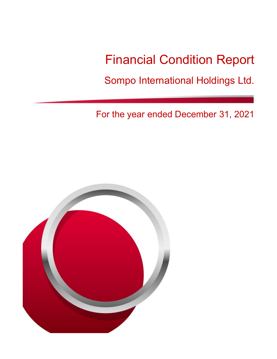# Financial Condition Report

Sompo International Holdings Ltd.

For the year ended December 31, 2021

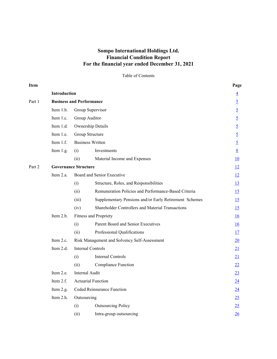# **Sompo International Holdings Ltd. Financial Condition Report For the financial year ended December 31, 2021**

Table of Contents

| Item   |                                 |                |                                                        | Page            |  |  |
|--------|---------------------------------|----------------|--------------------------------------------------------|-----------------|--|--|
|        | Introduction                    |                |                                                        | $\overline{4}$  |  |  |
| Part 1 | <b>Business and Performance</b> |                |                                                        | $\overline{5}$  |  |  |
|        | Item 1.b.                       |                | Group Supervisor                                       | $\overline{5}$  |  |  |
|        | Item 1.c.                       | Group Auditor  |                                                        |                 |  |  |
|        | Item 1.d.                       |                | Ownership Details                                      |                 |  |  |
|        | Item 1.e.                       |                | Group Structure                                        |                 |  |  |
|        | Item 1.f.                       |                | <b>Business Written</b>                                |                 |  |  |
|        | Item 1.g.                       | (i)            | Investments                                            | $8\overline{8}$ |  |  |
|        |                                 | (ii)           | Material Income and Expenses                           | <u>10</u>       |  |  |
| Part 2 | <b>Governance Structure</b>     |                |                                                        | 12              |  |  |
|        | Item 2.a.                       |                | Board and Senior Executive                             | 12              |  |  |
|        |                                 | (i)            | Structure, Roles, and Responsibilities                 | 13              |  |  |
|        |                                 | (ii)           | Remuneration Policies and Performance-Based Criteria   | 15              |  |  |
|        |                                 | (iii)          | Supplementary Pensions and/or Early Retirement Schemes | 15              |  |  |
|        |                                 | (iv)           | Shareholder Controllers and Material Transactions      | 15              |  |  |
|        | Item 2.b.                       |                | Fitness and Propriety                                  | 16              |  |  |
|        |                                 | (i)            | Parent Board and Senior Executives                     | 16              |  |  |
|        |                                 | (ii)           | Professional Qualifications                            | 17              |  |  |
|        | Item 2.c.                       |                | Risk Management and Solvency Self-Assessment           | 20              |  |  |
|        | Item 2.d.                       |                | <b>Internal Controls</b>                               | 21              |  |  |
|        |                                 | (i)            | <b>Internal Controls</b>                               | 21              |  |  |
|        |                                 | (ii)           | <b>Compliance Function</b>                             | 22              |  |  |
|        | Item 2.e.                       | Internal Audit |                                                        | 23              |  |  |
|        | Item 2.f.                       |                | <b>Actuarial Function</b>                              | 24              |  |  |
|        | Item 2.g.                       |                | Ceded Reinsurance Function                             | 24              |  |  |
|        | Item 2.h.                       | Outsourcing    |                                                        | 25              |  |  |
|        |                                 | (i)            | <b>Outsourcing Policy</b>                              | 25              |  |  |
|        |                                 | (ii)           | Intra-group outsourcing                                | 26              |  |  |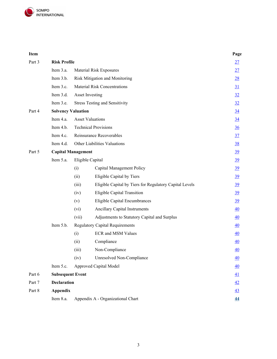

| Item   |                           |                                     |                                                         | Page             |  |  |
|--------|---------------------------|-------------------------------------|---------------------------------------------------------|------------------|--|--|
| Part 3 | <b>Risk Profile</b>       |                                     |                                                         | 27               |  |  |
|        | Item 3.a.                 |                                     | Material Risk Exposures                                 | 27               |  |  |
|        | Item 3.b.                 |                                     | Risk Mitigation and Monitoring                          | 28               |  |  |
|        | Item 3.c.                 | <b>Material Risk Concentrations</b> |                                                         |                  |  |  |
|        | Item 3.d.                 |                                     | <b>Asset Investing</b>                                  |                  |  |  |
|        | Item 3.e.                 |                                     | <b>Stress Testing and Sensitivity</b>                   | 32               |  |  |
| Part 4 | <b>Solvency Valuation</b> |                                     |                                                         |                  |  |  |
|        | Item 4.a.                 | $\underline{34}$                    |                                                         |                  |  |  |
|        | Item 4.b.                 |                                     | <b>Technical Provisions</b>                             | $\frac{36}{5}$   |  |  |
|        | Item 4.c.                 |                                     | Reinsurance Recoverables                                |                  |  |  |
|        | Item 4.d.                 |                                     | Other Liabilities Valuations                            | 38               |  |  |
| Part 5 | <b>Capital Management</b> |                                     |                                                         | $\underline{39}$ |  |  |
|        | Item 5.a.                 |                                     | Eligible Capital                                        | $\underline{39}$ |  |  |
|        |                           | (i)                                 | Capital Management Policy                               | $\underline{39}$ |  |  |
|        |                           | (ii)                                | Eligible Capital by Tiers                               | $\underline{39}$ |  |  |
|        |                           | (iii)                               | Eligible Capital by Tiers for Regulatory Capital Levels | $\underline{39}$ |  |  |
|        |                           | (iv)                                | Eligible Capital Transition                             | $\underline{39}$ |  |  |
|        |                           | (v)                                 | Eligible Capital Encumbrances                           | $\underline{39}$ |  |  |
|        |                           | (vi)                                | <b>Ancillary Capital Instruments</b>                    | 40               |  |  |
|        |                           | (vii)                               | Adjustments to Statutory Capital and Surplus            | $\underline{40}$ |  |  |
|        | Item 5.b.                 |                                     | <b>Regulatory Capital Requirements</b>                  | 40               |  |  |
|        |                           | (i)                                 | <b>ECR</b> and MSM Values                               | $\underline{40}$ |  |  |
|        |                           | (ii)                                | Compliance                                              | $\underline{40}$ |  |  |
|        |                           | (iii)                               | Non-Compliance                                          | 40               |  |  |
|        |                           | (iv)                                | <b>Unresolved Non-Compliance</b>                        | $\underline{40}$ |  |  |
|        | Item 5.c.                 |                                     | Approved Capital Model                                  | $\underline{40}$ |  |  |
| Part 6 | <b>Subsequent Event</b>   |                                     |                                                         | $\underline{41}$ |  |  |
| Part 7 | <b>Declaration</b>        |                                     |                                                         | $\frac{42}{5}$   |  |  |
| Part 8 | <b>Appendix</b>           |                                     |                                                         | $\frac{43}{5}$   |  |  |
|        | Item 8.a.                 |                                     | Appendix A - Organizational Chart                       | 44               |  |  |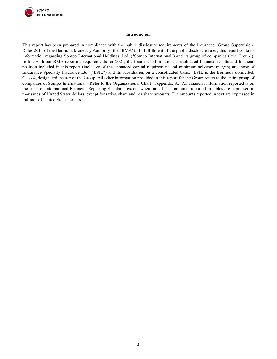

#### **Introduction**

<span id="page-3-0"></span>This report has been prepared in compliance with the public disclosure requirements of the Insurance (Group Supervision) Rules 2011 of the Bermuda Monetary Authority (the "BMA"). In fulfillment of the public disclosure rules, this report contains information regarding Sompo International Holdings, Ltd. ("Sompo International") and its group of companies ("the Group"). In line with our BMA reporting requirements for 2021, the financial information, consolidated financial results and financial position included in this report (inclusive of the enhanced capital requirement and minimum solvency margin) are those of Endurance Specialty Insurance Ltd. ("ESIL") and its subsidiaries on a consolidated basis. ESIL is the Bermuda domiciled, Class 4, designated insurer of the Group. All other information provided in this report for the Group refers to the entire group of companies of Sompo International. Refer to the Organizational Chart - Appendix A. All financial information reported is on the basis of International Financial Reporting Standards except where noted. The amounts reported in tables are expressed in thousands of United States dollars, except for ratios, share and per share amounts. The amounts reported in text are expressed in millions of United States dollars.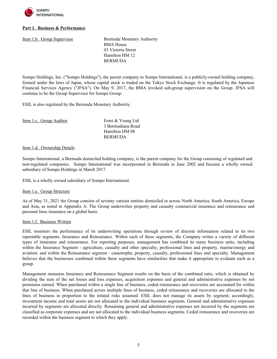

# <span id="page-4-0"></span>**Part 1. Business & Performance**

<span id="page-4-1"></span>Item 1.b. Group Supervisor<br>Bermuda Monetary Authority BMA House 43 Victoria Street Hamilton HM 12 BERMUDA

Sompo Holdings, Inc. ("Sompo Holdings"), the parent company to Sompo International, is a publicly-owned holding company, formed under the laws of Japan, whose capital stock is traded on the Tokyo Stock Exchange. It is regulated by the Japanese Financial Services Agency ("JFSA"). On May 9, 2017, the BMA invoked sub-group supervision on the Group. JFSA will continue to be the Group Supervisor for Sompo Group.

ESIL is also regulated by the Bermuda Monetary Authority.

<span id="page-4-2"></span>

| Item 1.c. Group Auditor | Ernst & Young Ltd |
|-------------------------|-------------------|
|                         | 3 Bermudiana Road |
|                         | Hamilton HM 08    |
|                         | <b>BERMUDA</b>    |
|                         |                   |

#### <span id="page-4-3"></span>Item 1.d. Ownership Details

Sompo International, a Bermuda domiciled holding company, is the parent company for the Group consisting of regulated and non-regulated companies. Sompo International was incorporated in Bermuda in June 2002 and became a wholly owned subsidiary of Sompo Holdings in March 2017.

ESIL is a wholly owned subsidiary of Sompo International.

#### <span id="page-4-4"></span>Item 1.e. Group Structure

As of May 31, 2021 the Group consists of seventy various entities domiciled in across North America, South America, Europe and Asia, as noted in Appendix A. The Group underwrites property and casualty commercial insurance and reinsurance and personal lines insurance on a global basis.

#### <span id="page-4-5"></span>Item 1.f. Business Written

ESIL monitors the performance of its underwriting operations through review of discrete information related to its two reportable segments, Insurance and Reinsurance. Within each of these segments, the Company writes a variety of different types of insurance and reinsurance. For reporting purposes, management has combined its many business units, including within the Insurance Segment - agriculture, casualty and other specialty, professional lines and property, marine/energy and aviation; and within the Reinsurance segment - catastrophe, property, casualty, professional lines and specialty. Management believes that the businesses combined within these segments have similarities that make it appropriate to evaluate each as a group.

Management measures Insurance and Reinsurance Segment results on the basis of the combined ratio, which is obtained by dividing the sum of the net losses and loss expenses, acquisition expenses and general and administrative expenses by net premiums earned. When purchased within a single line of business, ceded reinsurance and recoveries are accounted for within that line of business. When purchased across multiple lines of business, ceded reinsurance and recoveries are allocated to the lines of business in proportion to the related risks assumed. ESIL does not manage its assets by segment; accordingly, investment income and total assets are not allocated to the individual business segments. General and administrative expenses incurred by segments are allocated directly. Remaining general and administrative expenses not incurred by the segments are classified as corporate expenses and are not allocated to the individual business segments. Ceded reinsurance and recoveries are recorded within the business segment to which they apply.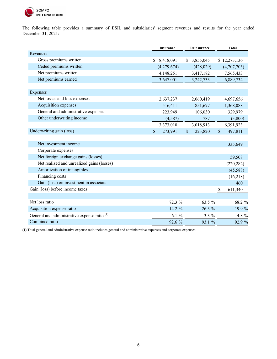

The following table provides a summary of ESIL and subsidiaries' segment revenues and results for the year ended December 31, 2021:

|                                                         | <b>Insurance</b>         | Reinsurance                          | <b>Total</b>             |
|---------------------------------------------------------|--------------------------|--------------------------------------|--------------------------|
| Revenues                                                |                          |                                      |                          |
| Gross premiums written                                  | 8,418,091<br>S           | 3,855,045<br>S.                      | \$12,273,136             |
| Ceded premiums written                                  | (4,279,674)              | (428, 029)                           | (4,707,703)              |
| Net premiums written                                    | 4,148,251                | 3,417,182                            | 7,565,433                |
| Net premiums earned                                     | 3,647,001                | 3,242,733                            | 6,889,734                |
|                                                         |                          |                                      |                          |
| Expenses                                                |                          |                                      |                          |
| Net losses and loss expenses                            | 2,637,237                | 2,060,419                            | 4,697,656                |
| Acquisition expenses                                    | 516,411                  | 851,677                              | 1,368,088                |
| General and administrative expenses                     | 223,949                  | 106,030                              | 329,979                  |
| Other underwriting income                               | (4,587)                  | 787                                  | (3,800)                  |
|                                                         | 3,373,010                | 3,018,913                            | 6,391,923                |
| Underwriting gain (loss)                                | $\mathcal{S}$<br>273,991 | $\boldsymbol{\mathsf{S}}$<br>223,820 | $\mathcal{S}$<br>497,811 |
|                                                         |                          |                                      |                          |
| Net investment income                                   |                          |                                      | 335,649                  |
| Corporate expenses                                      |                          |                                      |                          |
| Net foreign exchange gains (losses)                     |                          |                                      | 59,508                   |
| Net realized and unrealized gains (losses)              |                          |                                      | (220, 282)               |
| Amortization of intangibles                             |                          |                                      | (45,588)                 |
| Financing costs                                         |                          |                                      | (16,218)                 |
| Gain (loss) on investment in associate                  |                          |                                      | 460                      |
| Gain (loss) before income taxes                         |                          |                                      | 611,340<br>\$            |
|                                                         |                          |                                      |                          |
| Net loss ratio                                          | 72.3 %                   | 63.5 %                               | 68.2 %                   |
| Acquisition expense ratio                               | 14.2 %                   | $26.3\%$                             | 19.9 %                   |
| General and administrative expense ratio <sup>(1)</sup> | $6.1 \%$                 | $3.3\%$                              | 4.8 %                    |
| Combined ratio                                          | 92.6 %                   | 93.1 %                               | 92.9 %                   |

(1) Total general and administrative expense ratio includes general and administrative expenses and corporate expenses.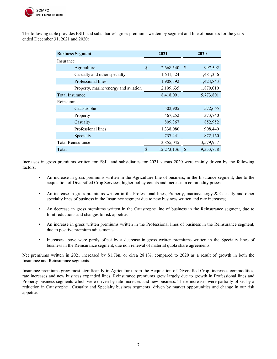

The following table provides ESIL and subsidiaries' gross premiums written by segment and line of business for the years ended December 31, 2021 and 2020:

| <b>Business Segment</b>              |    | 2021       |               | 2020      |
|--------------------------------------|----|------------|---------------|-----------|
| Insurance                            |    |            |               |           |
| Agriculture                          | \$ | 2,668,540  | <sup>\$</sup> | 997,592   |
| Casualty and other specialty         |    | 1,641,524  |               | 1,481,356 |
| Professional lines                   |    | 1,908,392  |               | 1,424,843 |
| Property, marine/energy and aviation |    | 2,199,635  |               | 1,870,010 |
| <b>Total Insurance</b>               |    | 8,418,091  |               | 5,773,801 |
| Reinsurance                          |    |            |               |           |
| Catastrophe                          |    | 502,905    |               | 572,665   |
| Property                             |    | 467,252    |               | 373,740   |
| Casualty                             |    | 809,367    |               | 852,952   |
| Professional lines                   |    | 1,338,080  |               | 908,440   |
| Specialty                            |    | 737,441    |               | 872,160   |
| <b>Total Reinsurance</b>             |    | 3,855,045  |               | 3,579,957 |
| Total                                |    | 12,273,136 | \$            | 9,353,758 |

Increases in gross premiums written for ESIL and subsidiaries for 2021 versus 2020 were mainly driven by the following factors:

- An increase in gross premiums written in the Agriculture line of business, in the Insurance segment, due to the acquisition of Diversified Crop Services, higher policy counts and increase in commodity prices.
- An increase in gross premiums written in the Professional lines, Property, marine/energy & Casualty and other specialty lines of business in the Insurance segment due to new business written and rate increases;
- An decrease in gross premiums written in the Catastrophe line of business in the Reinsurance segment, due to limit reductions and changes to risk appetite;
- An increase in gross written premiums written in the Professional lines of business in the Reinsurance segment, due to positive premium adjustments.
- Increases above were partly offset by a decrease in gross written premiums written in the Specialty lines of business in the Reinsurance segment, due non renewal of material quota share agreements.

Net premiums written in 2021 increased by \$1.7bn, or circa 28.1%, compared to 2020 as a result of growth in both the Insurance and Reinsurance segments.

Insurance premiums grew most significantly in Agriculture from the Acquisition of Diversified Crop, increases commodities, rate increases and new business expanded lines. Reinsurance premiums grew largely due to growth in Professional lines and Property business segments which were driven by rate increases and new business. These increases were partially offset by a reduction in Catastrophe , Casualty and Specialty business segments driven by market opportunities and change in our risk appetite.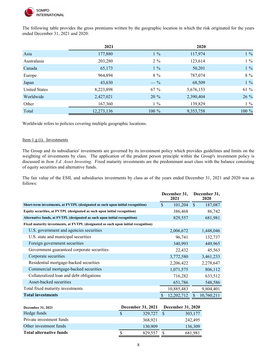

The following table provides the gross premiums written by the geographic location in which the risk originated for the years ended December 31, 2021 and 2020:

|                      | 2021       |         | 2020      |          |
|----------------------|------------|---------|-----------|----------|
| Asia                 | 177,880    | $1\%$   | 117,974   | $1\%$    |
| Australasia          | 203,280    | $2\%$   | 123,614   | $1\%$    |
| Canada               | 65,173     | $1\%$   | 50,201    | $1 \ \%$ |
| Europe               | 964,894    | $8\%$   | 787,074   | $8\ \%$  |
| Japan                | 43,630     | $-$ %   | 68,509    | $1 \ \%$ |
| <b>United States</b> | 8,223,898  | $67 \%$ | 5,676,153 | 61 %     |
| Worldwide            | 2,427,021  | $20 \%$ | 2,390,404 | 26 %     |
| Other                | 167,360    | $1\%$   | 139,829   | $1\%$    |
| Total                | 12,273,136 | 100 %   | 9,353,758 | 100 %    |

Worldwide refers to policies covering multiple geographic locations.

#### <span id="page-7-0"></span>Item 1.g.(i). Investments

The Group and its subsidiaries' investments are governed by its investment policy which provides guidelines and limits on the weighting of investments by class. The application of the prudent person principle within the Group's investment policy is discussed in *Item 3.d. Asset Investing*. Fixed maturity investments are the predominant asset class with the balance consisting of equity securities and alternative funds.

The fair value of the ESIL and subsidiaries investments by class as of the years ended December 31, 2021 and 2020 was as follows:

|                                                                                    |                    | December 31,<br>2021 |               | December 31,<br>2020 |
|------------------------------------------------------------------------------------|--------------------|----------------------|---------------|----------------------|
| Short-term investments, at FVTPL (designated as such upon initial recognition)     | $\mathbf{\hat{S}}$ | 101,204              | - \$          | 187,087              |
| Equity securities, at FVTPL (designated as such upon initial recognition)          |                    | 386,468              |               | 86,742               |
| Alternative funds, at FVTPL (designated as such upon initial recognition)          |                    | 829,557              |               | 681,981              |
| Fixed maturity investments, at FVTPL (designated as such upon initial recognition) |                    |                      |               |                      |
| U.S. government and agencies securities                                            |                    | 2,006,672            |               | 1,448,046            |
| U.S. state and municipal securities                                                |                    | 96,741               |               | 132,737              |
| Foreign government securities                                                      |                    | 340,993              |               | 449,965              |
| Government guaranteed corporate securities                                         |                    | 22,432               |               | 45,563               |
| Corporate securities                                                               |                    | 3,772,580            |               | 3,461,233            |
| Residential mortgage-backed securities                                             |                    | 2,206,422            |               | 2,278,647            |
| Commercial mortgage-backed securities                                              |                    | 1,071,575            |               | 806,112              |
| Collateralized loan and debt obligations                                           |                    | 716,282              |               | 633,512              |
| Asset-backed securities                                                            |                    | 651,786              |               | 548,586              |
| Total fixed maturity investments                                                   |                    | 10,885,483           |               | 9,804,401            |
| <b>Total investments</b>                                                           | \$                 | 12,202,712           | <sup>\$</sup> | 10,760,211           |

| <b>December 31, 2021</b>       | <b>December 31, 2021</b> |         | <b>December 31, 2020</b> |         |
|--------------------------------|--------------------------|---------|--------------------------|---------|
| Hedge funds                    |                          | 329,727 |                          | 303,177 |
| Private investment funds       |                          | 368.921 |                          | 242,495 |
| Other investment funds         |                          | 130,909 |                          | 136,309 |
| <b>Total alternative funds</b> |                          | 829,557 |                          | 681,981 |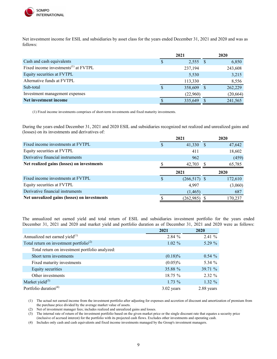

Net investment income for ESIL and subsidiaries by asset class for the years ended December 31, 2021 and 2020 and was as follows:

|                                                  | 2021 |          | 2020      |
|--------------------------------------------------|------|----------|-----------|
| Cash and cash equivalents                        | Φ    | 2,555    | 6,850     |
| Fixed income investments <sup>(1)</sup> at FVTPL |      | 237,194  | 243,608   |
| Equity securities at FVTPL                       |      | 5,530    | 3,215     |
| Alternative funds at FVTPL                       |      | 113,330  | 8,556     |
| Sub-total                                        | S    | 358,609  | 262,229   |
| Investment management expenses                   |      | (22,960) | (20, 664) |
| Net investment income                            |      | 335,649  | 241,565   |

(1) Fixed income investments comprises of short-term investments and fixed maturity investments.

During the years ended December 31, 2021 and 2020 ESIL and subsidiaries recognized net realized and unrealized gains and (losses) on its investments and derivatives of:

|                                            | 2021 |                 |    | 2020        |
|--------------------------------------------|------|-----------------|----|-------------|
| Fixed income investments at FVTPL          |      | 41,330          |    | 47,642      |
| Equity securities at FVTPL                 |      | 411             |    | 18,602      |
| Derivative financial instruments           |      | 962             |    | (459)       |
| Net realized gains (losses) on investments |      | 42,703          | -S | 65,785      |
|                                            |      |                 |    |             |
|                                            | 2021 |                 |    | <b>2020</b> |
| Fixed income investments at FVTPL          |      | $(266, 517)$ \$ |    | 172,610     |
| Equity securities at FVTPL                 |      | 4,997           |    | (3,060)     |
| Derivative financial instruments           |      | (1, 465)        |    | 687         |

The annualized net earned yield and total return of ESIL and subsidiaries investment portfolio for the years ended December 31, 2021 and 2020 and market yield and portfolio duration as of December 31, 2021 and 2020 were as follows:

|                                                     | 2021         | 2020       |
|-----------------------------------------------------|--------------|------------|
| Annualized net earned yield <sup>(1)</sup>          | 2.84%        | 2.41%      |
| Total return on investment portfolio <sup>(2)</sup> | $1.02 \%$    | $5.29\%$   |
| Total return on investment portfolio analyzed:      |              |            |
| Short term investments                              | $(0.18)\%$   | $0.54 \%$  |
| Fixed maturity investments                          | $(0.05)\%$   | 5.34 %     |
| Equity securities                                   | 35.88 %      | 39.71 %    |
| Other investments                                   | $18.75 \%$   | $2.32 \%$  |
| Market yield $^{(3)}$                               | $1.73\%$     | $1.32 \%$  |
| Portfolio duration <sup>(4)</sup>                   | $3.02$ years | 2.88 years |

(1) The actual net earned income from the investment portfolio after adjusting for expenses and accretion of discount and amortization of premium from the purchase price divided by the average market value of assets.

(2) Net of investment manager fees; includes realized and unrealized gains and losses.

(3) The internal rate of return of the investment portfolio based on the given market price or the single discount rate that equates a security price (inclusive of accrued interest) for the portfolio with its projected cash flows. Excludes other investments and operating cash.

(4) Includes only cash and cash equivalents and fixed income investments managed by the Group's investment managers.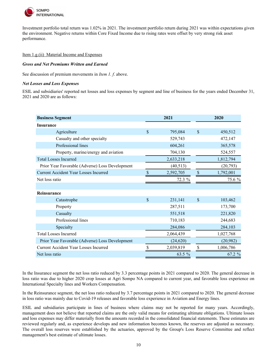

Investment portfolio total return was 1.02% in 2021. The investment portfolio return during 2021 was within expectations given the environment. Negative returns within Core Fixed Income due to rising rates were offset by very strong risk asset performance.

#### <span id="page-9-0"></span>Item 1.g.(ii) Material Income and Expenses

#### *Gross and Net Premiums Written and Earned*

See discussion of premium movements in *Item 1. f*. above.

# *Net Losses and Loss Expenses*

ESIL and subsidiaries' reported net losses and loss expenses by segment and line of business for the years ended December 31, 2021 and 2020 are as follows:

| <b>Business Segment</b>                         |                    | 2021      |               | 2020      |
|-------------------------------------------------|--------------------|-----------|---------------|-----------|
| <b>Insurance</b>                                |                    |           |               |           |
| Agriculture                                     | $\mathbf{\hat{S}}$ | 795,084   | $\mathcal{S}$ | 450,512   |
| Casualty and other specialty                    |                    | 529,743   |               | 472,147   |
| Professional lines                              |                    | 604,261   |               | 365,578   |
| Property, marine/energy and aviation            |                    | 704,130   |               | 524,557   |
| <b>Total Losses Incurred</b>                    |                    | 2,633,218 |               | 1,812,794 |
| Prior Year Favorable (Adverse) Loss Development |                    | (40, 513) |               | (20,793)  |
| <b>Current Accident Year Losses Incurred</b>    | <sup>\$</sup>      | 2,592,705 | <sup>\$</sup> | 1,792,001 |
| Net loss ratio                                  |                    | 72.3 %    |               | 75.6 %    |
|                                                 |                    |           |               |           |
| Reinsurance                                     |                    |           |               |           |
| Catastrophe                                     | $\mathbf S$        | 231,141   | $\mathcal{S}$ | 103,462   |
| Property                                        |                    | 287,511   |               | 173,700   |
| Casualty                                        |                    | 551,518   |               | 221,820   |
| Professional lines                              |                    | 710,183   |               | 244,683   |
| Specialty                                       |                    | 284,086   |               | 284,103   |
| <b>Total Losses Incurred</b>                    |                    | 2,064,439 |               | 1,027,768 |
| Prior Year Favorable (Adverse) Loss Development |                    | (24, 620) |               | (20, 982) |
| Current Accident Year Losses Incurred           |                    | 2,039,819 |               | 1,006,786 |
| Net loss ratio                                  |                    | 63.5 %    |               | 67.2 %    |

In the Insurance segment the net loss ratio reduced by 3.3 percentage points in 2021 compared to 2020. The general decrease in loss ratio was due to higher 2020 crop losses at Agri Sompo NA compared to current year, and favorable loss experience on International Specialty lines and Workers Compensation.

In the Reinsurance segment, the net loss ratio reduced by 3.7 percentage points in 2021 compared to 2020. The general decrease in loss ratio was mainly due to Covid-19 releases and favorable loss experience in Aviation and Energy lines.

ESIL and subsidiaries participate in lines of business where claims may not be reported for many years. Accordingly, management does not believe that reported claims are the only valid means for estimating ultimate obligations. Ultimate losses and loss expenses may differ materially from the amounts recorded in the consolidated financial statements. These estimates are reviewed regularly and, as experience develops and new information becomes known, the reserves are adjusted as necessary. The overall loss reserves were established by the actuaries, approved by the Group's Loss Reserve Committee and reflect management's best estimate of ultimate losses.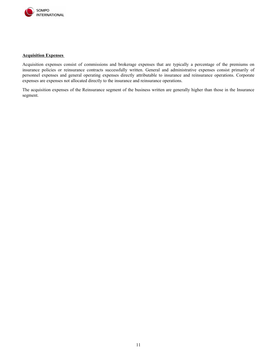

#### **Acquisition Expenses**

Acquisition expenses consist of commissions and brokerage expenses that are typically a percentage of the premiums on insurance policies or reinsurance contracts successfully written. General and administrative expenses consist primarily of personnel expenses and general operating expenses directly attributable to insurance and reinsurance operations. Corporate expenses are expenses not allocated directly to the insurance and reinsurance operations.

The acquisition expenses of the Reinsurance segment of the business written are generally higher than those in the Insurance segment.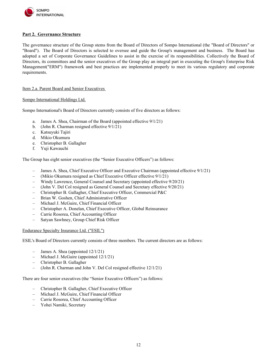

# <span id="page-11-0"></span>**Part 2. Governance Structure**

The governance structure of the Group stems from the Board of Directors of Sompo International (the "Board of Directors" or "Board"). The Board of Directors is selected to oversee and guide the Group's management and business. The Board has adopted a set of Corporate Governance Guidelines to assist in the exercise of its responsibilities. Collectively the Board of Directors, its committees and the senior executives of the Group play an integral part in executing the Group's Enterprise Risk Management("ERM") framework and best practices are implemented properly to meet its various regulatory and corporate requirements.

# <span id="page-11-1"></span>Item 2.a. Parent Board and Senior Executives

#### Sompo International Holdings Ltd.

Sompo International's Board of Directors currently consists of five directors as follows:

- a. James A. Shea, Chairman of the Board (appointed effective 9/1/21)
- b. (John R. Charman resigned effective 9/1/21)
- c. Katsuyuki Tajiri
- d. Mikio Okumura
- e. Christopher B. Gallagher
- f. Yuji Kawauchi

The Group has eight senior executives (the "Senior Executive Officers") as follows:

- James A. Shea, Chief Executive Officer and Executive Chairman (appointed effective 9/1/21)
- (Mikio Okumura resigned as Chief Executive Officer effective 9/1/21)
- Windy Lawrence, General Counsel and Secretary (appointed effective 9/20/21)
- (John V. Del Col resigned as General Counsel and Secretary effective 9/20/21)
- Christopher B. Gallagher, Chief Executive Officer, Commercial P&C
- Brian W. Goshen, Chief Administrative Officer
- Michael J. McGuire, Chief Financial Officer
- Christopher A. Donelan, Chief Executive Officer, Global Reinsurance
- Carrie Rosorea, Chief Accounting Officer
- Satyan Sawhney, Group Chief Risk Officer

#### Endurance Specialty Insurance Ltd. ("ESIL")

ESIL's Board of Directors currently consists of three members. The current directors are as follows:

- James A. Shea (appointed  $12/1/21$ )
- Michael J. McGuire (appointed 12/1/21)
- Christopher B. Gallagher
- (John R. Charman and John V. Del Col resigned effective 12/1/21)

There are four senior executives (the "Senior Executive Officers") as follows:

- Christopher B. Gallagher, Chief Executive Officer
- Michael J. McGuire, Chief Financial Officer
- Carrie Rosorea, Chief Accounting Officer
- Yohei Namiki, Secretary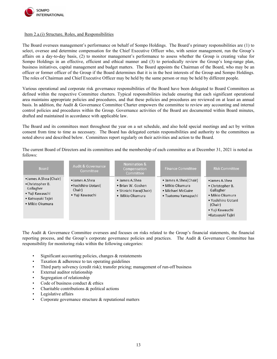

#### <span id="page-12-0"></span>Item 2.a.(i) Structure, Roles, and Responsibilities

The Board oversees management's performance on behalf of Sompo Holdings. The Board's primary responsibilities are (1) to select, oversee and determine compensation for the Chief Executive Officer who, with senior management, run the Group's affairs on a day-to-day basis, (2) to monitor management's performance to assess whether the Group is creating value for Sompo Holdings in an effective, efficient and ethical manner and (3) to periodically review the Group's long-range plan, business initiatives, capital management and budget matters. The Board appoints the Chairman of the Board, who may be an officer or former officer of the Group if the Board determines that it is in the best interests of the Group and Sompo Holdings. The roles of Chairman and Chief Executive Officer may be held by the same person or may be held by different people.

Various operational and corporate risk governance responsibilities of the Board have been delegated to Board Committees as defined within the respective Committee charters. Typical responsibilities include ensuring that each significant operational area maintains appropriate policies and procedures, and that these policies and procedures are reviewed on at least an annual basis. In addition, the Audit & Governance Committee Charter empowers the committee to review any accounting and internal control policies and procedures within the Group. Governance activities of the Board are documented within Board minutes, drafted and maintained in accordance with applicable law.

The Board and its committees meet throughout the year on a set schedule, and also hold special meetings and act by written consent from time to time as necessary. The Board has delegated certain responsibilities and authority to the committees as noted above and described below. Committees report regularly on their activities and action to the Board.

The current Board of Directors and its committees and the membership of each committee as at December 31, 2021 is noted as follows:

| Board                                                                                                             | <b>Audit &amp; Governance</b><br>Committee                        | Nomination &<br>Compensation<br>Committee                                        | <b>Finance Committee</b>                                                             | <b>Risk Committee</b>                                                                                                                      |
|-------------------------------------------------------------------------------------------------------------------|-------------------------------------------------------------------|----------------------------------------------------------------------------------|--------------------------------------------------------------------------------------|--------------------------------------------------------------------------------------------------------------------------------------------|
| •James A.Shea (Chair)<br>•Christopher B.<br>Gallagher<br>• Yuji Kawauchi<br>• Katsuyuki Tajiri<br>• Mikio Okumura | • James A.Shea<br>•Yoshihiro Uotani(<br>Chair)<br>• Yuji Kawauchi | • James A.Shea<br>• Brian W. Goshen<br>• Shinichi Hara(Chair)<br>• Mikio Okumura | • James A.Shea(Chair)<br>· Mikio Okumura<br>• Michael McGuire<br>• Tsutomu Yamaguchi | •James A.Shea<br>• Christopher B.<br>Gallagher<br>• Mikio Okumura<br>• Yoshihiro Uotani<br>(Chair)<br>• Yuji Kawauchi<br>•Katsuyuki Tajiri |

The Audit & Governance Committee oversees and focuses on risks related to the Group's financial statements, the financial reporting process, and the Group's corporate governance policies and practices. The Audit & Governance Committee has responsibility for monitoring risks within the following categories:

- Significant accounting policies, changes  $\&$  restatements
- Taxation  $&$  adherence to tax operating guidelines
- Third party solvency (credit risk); transfer pricing; management of run-off business
- External auditor relationship
- Segregation of relationship
- Code of business conduct  $&$  ethics
- Charitable contributions  $\&$  political actions
- Legislative affairs
- Corporate governance structure  $\&$  reputational matters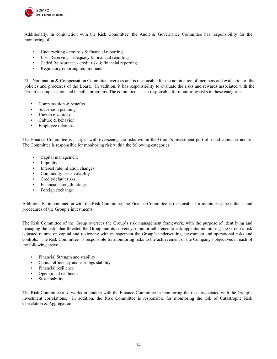

Additionally, in conjunction with the Risk Committee, the Audit & Governance Committee has responsibility for the monitoring of:

- Underwriting controls  $&$  financial reporting
- Loss Reserving adequacy & financial reporting
- Ceded Reinsurance credit risk & financial reporting
- Regulatory reporting requirements

The Nomination & Compensation Committee oversees and is responsible for the nomination of members and evaluation of the policies and processes of the Board. In addition, it has responsibility to evaluate the risks and rewards associated with the Group's compensation and benefits programs. The committee is also responsible for monitoring risks in these categories:

- Compensation & benefits
- Succession planning
- Human resources
- Culture & behavior
- Employee relations

The Finance Committee is charged with overseeing the risks within the Group's investment portfolio and capital structure. The Committee is responsible for monitoring risk within the following categories:

- Capital management
- **Liquidity**
- Interest rate/inflation changes
- Commodity price volatility
- Credit/default risks
- Financial strength ratings
- Foreign exchange

Additionally, in conjunction with the Risk Committee, the Finance Committee is responsible for monitoring the policies and procedures of the Group's investments.

The Risk Committee of the Group oversees the Group's risk management framework, with the purpose of identifying and managing the risks that threaten the Group and its solvency, monitor adherence to risk appetite, monitoring the Group's risk adjusted returns on capital and reviewing with management the Group's underwriting, investment and operational risks and controls. The Risk Committee is responsible for monitoring risks to the achievement of the Company's objectives in each of the following areas:

- Financial Strength and stability
- Capital efficiency and earnings stability
- Financial resilience
- Operational resilience
- **Sustainability**

The Risk Committee also works in tandem with the Finance Committee in monitoring the risks associated with the Group's investment correlations. In addition, the Risk Committee is responsible for monitoring the risk of Catastrophe Risk Correlation & Aggregation.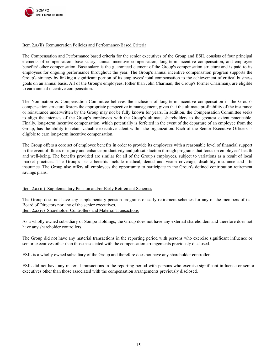

# <span id="page-14-0"></span>Item 2.a.(ii) Remuneration Policies and Performance-Based Criteria

The Compensation and Performance based criteria for the senior executives of the Group and ESIL consists of four principal elements of compensation: base salary, annual incentive compensation, long-term incentive compensation, and employee benefits/ other compensation. Base salary is the guaranteed element of the Group's compensation structure and is paid to its employees for ongoing performance throughout the year. The Group's annual incentive compensation program supports the Group's strategy by linking a significant portion of its employees' total compensation to the achievement of critical business goals on an annual basis. All of the Group's employees, (other than John Charman, the Group's former Chairman), are eligible to earn annual incentive compensation.

The Nomination & Compensation Committee believes the inclusion of long-term incentive compensation in the Group's compensation structure fosters the appropriate perspective in management, given that the ultimate profitability of the insurance or reinsurance underwritten by the Group may not be fully known for years. In addition, the Compensation Committee seeks to align the interests of the Group's employees with the Group's ultimate shareholders to the greatest extent practicable. Finally, long-term incentive compensation, which potentially is forfeited in the event of the departure of an employee from the Group, has the ability to retain valuable executive talent within the organization. Each of the Senior Executive Officers is eligible to earn long-term incentive compensation.

The Group offers a core set of employee benefits in order to provide its employees with a reasonable level of financial support in the event of illness or injury and enhance productivity and job satisfaction through programs that focus on employees' health and well-being. The benefits provided are similar for all of the Group's employees, subject to variations as a result of local market practices. The Group's basic benefits include medical, dental and vision coverage, disability insurance and life insurance. The Group also offers all employees the opportunity to participate in the Group's defined contribution retirement savings plans.

# <span id="page-14-1"></span>Item 2.a.(iii) Supplementary Pension and/or Early Retirement Schemes

<span id="page-14-2"></span>The Group does not have any supplementary pension programs or early retirement schemes for any of the members of its Board of Directors nor any of the senior executives. Item 2.a.(iv) Shareholder Controllers and Material Transactions

As a wholly owned subsidiary of Sompo Holdings, the Group does not have any external shareholders and therefore does not have any shareholder controllers.

The Group did not have any material transactions in the reporting period with persons who exercise significant influence or senior executives other than those associated with the compensation arrangements previously disclosed.

ESIL is a wholly owned subsidiary of the Group and therefore does not have any shareholder controllers.

ESIL did not have any material transactions in the reporting period with persons who exercise significant influence or senior executives other than those associated with the compensation arrangements previously disclosed.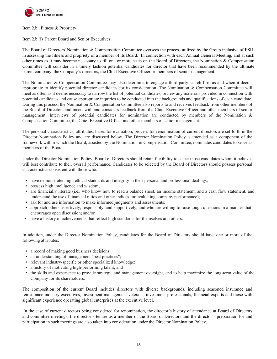

#### <span id="page-15-0"></span>Item 2.b. Fitness & Propriety

# <span id="page-15-1"></span>Item 2.b.(i) Parent Board and Senior Executives

The Board of Directors' Nomination & Compensation Committee oversees the process utilized by the Group inclusive of ESIL in assessing the fitness and propriety of a member of its Board. In connection with each Annual General Meeting, and at such other times as it may become necessary to fill one or more seats on the Board of Directors, the Nomination  $\&$  Compensation Committee will consider in a timely fashion potential candidates for director that have been recommended by the ultimate parent company, the Company's directors, the Chief Executive Officer or members of senior management.

The Nomination & Compensation Committee may also determine to engage a third-party search firm as and when it deems appropriate to identify potential director candidates for its consideration. The Nomination & Compensation Committee will meet as often as it deems necessary to narrow the list of potential candidates, review any materials provided in connection with potential candidates and cause appropriate inquiries to be conducted into the backgrounds and qualifications of each candidate. During this process, the Nomination & Compensation Committee also reports to and receives feedback from other members of the Board of Directors and meets with and considers feedback from the Chief Executive Officer and other members of senior management. Interviews of potential candidates for nomination are conducted by members of the Nomination & Compensation Committee, the Chief Executive Officer and other members of senior management.

The personal characteristics, attributes, bases for evaluation, process for renomination of current directors are set forth in the Director Nomination Policy and are discussed below. The Director Nomination Policy is intended as a component of the framework within which the Board, assisted by the Nomination & Compensation Committee, nominates candidates to serve as members of the Board.

Under the Director Nomination Policy, Board of Directors should retain flexibility to select those candidates whom it believes will best contribute to their overall performance. Candidates to be selected by the Board of Directors should possess personal characteristics consistent with those who:

- have demonstrated high ethical standards and integrity in their personal and professional dealings;
- possess high intelligence and wisdom;
- are financially literate (i.e., who know how to read a balance sheet, an income statement, and a cash flow statement, and understand the use of financial ratios and other indices for evaluating company performance);
- ask for and use information to make informed judgments and assessments;
- approach others assertively, responsibly, and supportively, and who are willing to raise tough questions in a manner that encourages open discussion; and/or
- have a history of achievements that reflect high standards for themselves and others.

In addition, under the Director Nomination Policy, candidates for the Board of Directors should have one or more of the following attributes:

- a record of making good business decisions;
- an understanding of management "best practices";
- relevant industry-specific or other specialized knowledge;
- a history of motivating high-performing talent; and
- the skills and experience to provide strategic and management oversight, and to help maximize the long-term value of the Company for its shareholders.

The composition of the current Board includes directors with diverse backgrounds, including seasoned insurance and reinsurance industry executives, investment management veterans, investment professionals, financial experts and those with significant experience operating global enterprises at the executive level.

In the case of current directors being considered for renomination, the director's history of attendance at Board of Directors and committee meetings, the director's tenure as a member of the Board of Directors and the director's preparation for and participation in such meetings are also taken into consideration under the Director Nomination Policy.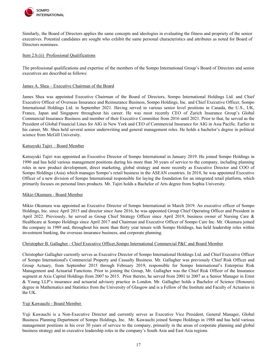

Similarly, the Board of Directors applies the same concepts and ideologies in evaluating the fitness and propriety of the senior executives. Potential candidates are sought who exhibit the same personal characteristics and attributes as noted for Board of Directors nominees.

# <span id="page-16-0"></span>Item 2.b.(ii) Professional Qualifications

The professional qualifications and expertise of the members of the Sompo International Group's Board of Directors and senior executives are described as follows:

# James A. Shea – Executive Chairman of the Board

James Shea was appointed Executive Chairman of the Board of Directors, Sompo International Holdings Ltd. and Chief Executive Officer of Overseas Insurance and Reinsurance Business, Sompo Holdings, Inc. and Chief Executive Officer, Sompo International Holdings Ltd. in September 2021. Having served in various senior level positions in Canada, the U.S., UK, France, Japan and Singapore throughout his career. He was most recently CEO of Zurich Insurance Group's Global Commercial Insurance Business and member of their Executive Committee from 2016 until 2021. Prior to that, he served as the President of Global Financial Lines for AIG in New York and CEO of Commercial Insurance for AIG in Asia Pacific. Earlier in his career, Mr. Shea held several senior underwriting and general management roles. He holds a bachelor's degree in political science from McGill University.

#### Katsuyuki Tajiri – Board Member

Katsuyuki Tajiri was appointed an Executive Director of Sompo International in January 2019. He joined Sompo Holdings in 1990 and has held various management positions during his more than 30 years of service to the company, including planning roles in new product development, direct marketing, global strategy and more recently as Executive Director and COO of Sompo Holdings (Asia) which manages Sompo's retail business in the ASEAN countries. In 2018, he was appointed Executive Officer of a new division of Sompo International responsible for laying the foundation for an integrated retail platform, which primarily focuses on personal lines products. Mr. Tajiri holds a Bachelor of Arts degree from Sophia University.

# Mikio Okumura - Board Member

Mikio Okumura was appointed an Executive Director of Sompo International in March 2019. An executive officer of Sompo Holdings, Inc. since April 2015 and director since June 2016, he was appointed Group Chief Operating Officer and President in April 2022. Previously, he served as Group Chief Strategy Officer since April 2019, business owner of Nursing Care & Healthcare at Sompo Holdings since April 2017 and Chairman and Executive Officer of Sompo Care Inc. Mr. Okumura joined the company in 1989 and, throughout his more than thirty year tenure with Sompo Holdings, has held leadership roles within investment banking, the overseas insurance business, and corporate planning.

#### Christopher B. Gallagher - Chief Executive Officer,Sompo International Commercial P&C and Board Member

Christopher Gallagher currently serves as Executive Director of Sompo International Holdings Ltd. and Chief Executive Officer of Sompo International's Commercial Property and Casualty Business. Mr. Gallagher was previously Chief Risk Officer and Group Actuary, from September 2015 through February 2019, responsible for Sompo International's Enterprise Risk Management and Actuarial Functions. Prior to joining the Group, Mr. Gallagher was the Chief Risk Officer of the Insurance segment at Axis Capital Holdings from 2007 to 2015. Prior thereto, he served from 2001 to 2007 as a Senior Manager in Ernst & Young LLP's insurance and actuarial advisory practice in London. Mr. Gallagher holds a Bachelor of Science (Honours) degree in Mathematics and Statistics from the University of Glasgow and is a Fellow of the Institute and Faculty of Actuaries in the UK.

#### Yuji Kawauchi - Board Member

Yuji Kawauchi is a Non-Executive Director and currently serves as Executive Vice President, General Manager, Global Business Planning Department of Sompo Holdings, Inc. Mr. Kawauchi joined Sompo Holdings in 1988 and has held various management positions in his over 30 years of service to the company, primarily in the areas of corporate planning and global business strategy and in executive leadership roles in the company's South Asia and East Asia regions.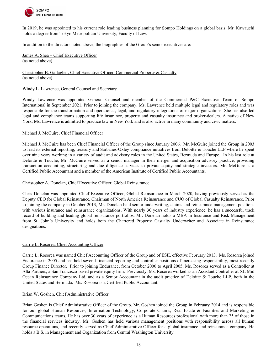

In 2019, he was appointed to his current role leading business planning for Sompo Holdings on a global basis. Mr. Kawauchi holds a degree from Tokyo Metropolitan University, Faculty of Law.

In addition to the directors noted above, the biographies of the Group's senior executives are:

James A. Shea – Chief Executive Officer (as noted above)

Christopher B. Gallagher, Chief Executive Officer, Commercial Property & Casualty (as noted above)

# Windy L. Lawrence, General Counsel and Secretary

Windy Lawrence was appointed General Counsel and member of the Commercial P&C Executive Team of Sompo International in September 2021. Prior to joining the company, Ms. Lawrence held multiple legal and regulatory roles and was responsible for the transformation and operational, legal, and regulatory integrations of major organizations. She has also led legal and compliance teams supporting life insurance, property and casualty insurance and broker-dealers. A native of New York, Ms. Lawrence is admitted to practice law in New York and is also active in many community and civic matters.

#### Michael J. McGuire, Chief Financial Officer

Michael J. McGuire has been Chief Financial Officer of the Group since January 2006. Mr. McGuire joined the Group in 2003 to lead its external reporting, treasury and Sarbanes-Oxley compliance initiatives from Deloitte & Touche LLP where he spent over nine years working in a variety of audit and advisory roles in the United States, Bermuda and Europe. In his last role at Deloitte & Touche, Mr. McGuire served as a senior manager in their merger and acquisition advisory practice, providing transaction accounting, structuring and due diligence services to private equity and strategic investors. Mr. McGuire is a Certified Public Accountant and a member of the American Institute of Certified Public Accountants.

#### Christopher A. Donelan, Chief Executive Officer, Global Reinsurance

Chris Donelan was appointed Chief Executive Officer, Global Reinsurance in March 2020, having previously served as the Deputy CEO for Global Reinsurance, Chairman of North America Reinsurance and CUO of Global Casualty Reinsurance. Prior to joining the company in October 2013, Mr. Donelan held senior underwriting, claims and reinsurance management positions with various insurance and reinsurance organizations. With nearly 30 years of industry experience, he has a successful track record of building and leading global reinsurance portfolios. Mr. Donelan holds a MBA in Insurance and Risk Management from St. John's University and holds both the Chartered Property Casualty Underwriter and Associate in Reinsurance designations.

# Carrie L. Rosorea, Chief Accounting Officer

Carrie L. Rosorea was named Chief Accounting Officer of the Group and of ESIL effective February 2013. Ms. Rosorea joined Endurance in 2005 and has held several financial reporting and controller positions of increasing responsibility, most recently Group Finance Director. Prior to joining Endurance, from October 2000 to April 2005, Ms. Rosorea served as a Controller at Alta Partners, a San Francisco-based private equity firm. Previously, Ms. Rosorea worked as an Assistant Controller at XL Mid Ocean Reinsurance Company Ltd. and as a Senior Accountant in the audit practice of Deloitte & Touche LLP, both in the United States and Bermuda. Ms. Rosorea is a Certified Public Accountant.

# Brian W. Goshen, Chief Administrative Officer

Brian Goshen is Chief Administrative Officer of the Group. Mr. Goshen joined the Group in February 2014 and is responsible for our global Human Resources, Information Technology, Corporate Claims, Real Estate & Facilities and Marketing & Communications teams. He has over 30 years of experience as a Human Resources professional with more than 25 of those in the financial services industry. Mr. Goshen has held various management positions with responsibility across all human resource operations, and recently served as Chief Administrative Officer for a global insurance and reinsurance company. He holds a B.S. in Management and Organization from Central Washington University.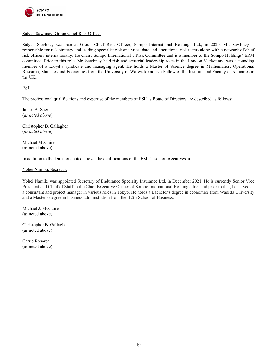

# Satyan Sawhney, Group Chief Risk Officer

Satyan Sawhney was named Group Chief Risk Officer, Sompo International Holdings Ltd., in 2020. Mr. Sawhney is responsible for risk strategy and leading specialist risk analytics, data and operational risk teams along with a network of chief risk officers internationally. He chairs Sompo International's Risk Committee and is a member of the Sompo Holdings' ERM committee. Prior to this role, Mr. Sawhney held risk and actuarial leadership roles in the London Market and was a founding member of a Lloyd's syndicate and managing agent. He holds a Master of Science degree in Mathematics, Operational Research, Statistics and Economics from the University of Warwick and is a Fellow of the Institute and Faculty of Actuaries in the UK.

ESIL

The professional qualifications and expertise of the members of ESIL's Board of Directors are described as follows:

James A. Shea (*as noted above*)

Christopher B. Gallagher (*as noted above*)

Michael McGuire (as noted above)

In addition to the Directors noted above, the qualifications of the ESIL's senior executives are:

#### Yohei Namiki, Secretary

Yohei Namiki was appointed Secretary of Endurance Specialty Insurance Ltd. in December 2021. He is currently Senior Vice President and Chief of Staff to the Chief Executive Officer of Sompo International Holdings, Inc, and prior to that, he served as a consultant and project manager in various roles in Tokyo. He holds a Bachelor's degree in economics from Waseda University and a Master's degree in business administration from the IESE School of Business.

Michael J. McGuire (as noted above)

Christopher B. Gallagher (as noted above)

Carrie Rosorea (as noted above)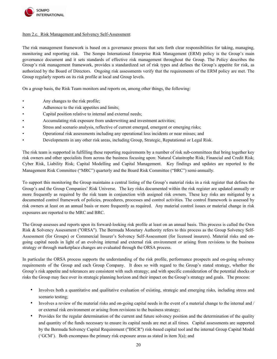

# <span id="page-19-0"></span>Item 2.c. Risk Management and Solvency Self-Assessment

The risk management framework is based on a governance process that sets forth clear responsibilities for taking, managing, monitoring and reporting risk. The Sompo International Enterprise Risk Management (ERM) policy is the Group's main governance document and it sets standards of effective risk management throughout the Group. The Policy describes the Group's risk management framework, provides a standardized set of risk types and defines the Group's appetite for risk, as authorized by the Board of Directors. Ongoing risk assessments verify that the requirements of the ERM policy are met. The Group regularly reports on its risk profile at local and Group levels.

On a group basis, the Risk Team monitors and reports on, among other things, the following:

- Any changes to the risk profile;
- Adherence to the risk appetites and limits;
- Capital position relative to internal and external needs;
- Accumulating risk exposure from underwriting and investment activities;
- Stress and scenario analysis, reflective of current emerged, emergent or emerging risks;
- Operational risk assessments including any operational loss incidents or near misses; and
- Developments in any other risk areas, including Group, Strategic, Reputational or Legal Risk.

The risk team is supported in fulfilling these reporting requirements by a number of risk sub-committees that bring together key risk owners and other specialists from across the business focusing upon: Natural Catastrophe Risk; Financial and Credit Risk; Cyber Risk, Liability Risk; Capital Modelling and Capital Management. Key findings and updates are reported to the Management Risk Committee ("MRC") quarterly and the Board Risk Committee ("BRC") semi-annually.

To support this monitoring the Group maintains a central listing of the Group's material risks in a risk register that defines the Group's and the Group Companies' Risk Universe. The key risks documented within the risk register are updated annually or more frequently as required by the risk team in conjunction with assigned risk owners. These key risks are mitigated by a documented control framework of policies, procedures, processes and control activities. The control framework is assessed by risk owners at least on an annual basis or more frequently as required. Any material control issues or material change in risk exposures are reported to the MRC and BRC.

The Group assesses and reports upon its forward-looking risk profile at least on an annual basis. This process is called the Own Risk & Solvency Assessment ("ORSA"). The Bermuda Monetary Authority refers to this process as the Group Solvency Self-Assessment (for Groups) or Commercial Insurer's Solvency Self-Assessment (for licensed insurers). Material risks and ongoing capital needs in light of an evolving internal and external risk environment or arising from revisions to the business strategy or through marketplace changes are evaluated through the ORSA process.

In particular the ORSA process supports the understanding of the risk profile, performance prospects and on-going solvency requirements of the Group and each Group Company. It does so with regard to the Group's stated strategy, whether the Group's risk appetite and tolerances are consistent with such strategy; and with specific consideration of the potential shocks or risks the Group may face over its strategic planning horizon and their impact on the Group's strategy and goals. The process:

- Involves both a quantitative and qualitative evaluation of existing, strategic and emerging risks, including stress and scenario testing;
- Involves a review of the material risks and on-going capital needs in the event of a material change to the internal and / or external risk environment or arising from revisions to the business strategy;
- Provides for the regular determination of the current and future solvency position and the determination of the quality and quantity of the funds necessary to ensure its capital needs are met at all times. Capital assessments are supported by the Bermuda Solvency Capital Requirement ("BSCR") risk-based capital tool and the internal Group Capital Model ( $'GCM'$ ). Both encompass the primary risk exposure areas as stated in item  $3(a)$ ; and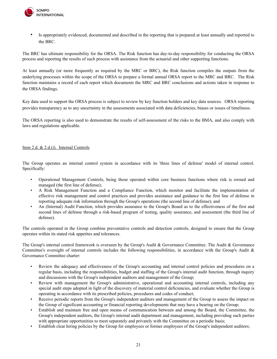

• Is appropriately evidenced, documented and described in the reporting that is prepared at least annually and reported to the BRC.

The BRC has ultimate responsibility for the ORSA. The Risk function has day-to-day responsibility for conducting the ORSA process and reporting the results of such process with assistance from the actuarial and other supporting functions.

At least annually (or more frequently as required by the MRC or BRC), the Risk function compiles the outputs from the underlying processes within the scope of the ORSA to prepare a formal annual ORSA report to the MRC and BRC. The Risk function maintains a record of each report which documents the MRC and BRC conclusions and actions taken in response to the ORSA findings.

Key data used to support the ORSA process is subject to review by key function holders and key data sources. ORSA reporting provides transparency as to any uncertainty in the assessments associated with data deficiencies, biases or issues of timeliness.

The ORSA reporting is also used to demonstrate the results of self-assessment of the risks to the BMA, and also comply with laws and regulations applicable.

# <span id="page-20-1"></span><span id="page-20-0"></span>Item 2.d. & 2.d.(i). Internal Controls

The Group operates an internal control system in accordance with its 'three lines of defense' model of internal control. Specifically:

- Operational Management Controls, being those operated within core business functions where risk is owned and managed (the first line of defense);
- A Risk Management Function and a Compliance Function, which monitor and facilitate the implementation of effective risk management and control practices and provides assistance and guidance to the first line of defense in reporting adequate risk information through the Group's operations (the second line of defense); and
- An (Internal) Audit Function, which provides assurance to the Group's Board as to the effectiveness of the first and second lines of defense through a risk-based program of testing, quality assurance, and assessment (the third line of defense).

The controls operated in the Group combine preventative controls and detection controls, designed to ensure that the Group operates within its stated risk appetites and tolerances.

The Group's internal control framework is overseen by the Group's Audit & Governance Committee. The Audit & Governance Committee's oversight of internal controls includes the following responsibilities, in accordance with the Group's Audit & Governance Committee charter:

- Review the adequacy and effectiveness of the Group's accounting and internal control policies and procedures on a regular basis, including the responsibilities, budget and staffing of the Group's internal audit function, through inquiry and discussions with the Group's independent auditors and management of the Group;
- Review with management the Group's administrative, operational and accounting internal controls, including any special audit steps adopted in light of the discovery of material control deficiencies, and evaluate whether the Group is operating in accordance with its prescribed policies, procedures and codes of conduct;
- Receive periodic reports from the Group's independent auditors and management of the Group to assess the impact on the Group of significant accounting or financial reporting developments that may have a bearing on the Group;
- Establish and maintain free and open means of communication between and among the Board, the Committee, the Group's independent auditors, the Group's internal audit department and management, including providing such parties with appropriate opportunities to meet separately and privately with the Committee on a periodic basis;
- Establish clear hiring policies by the Group for employees or former employees of the Group's independent auditors;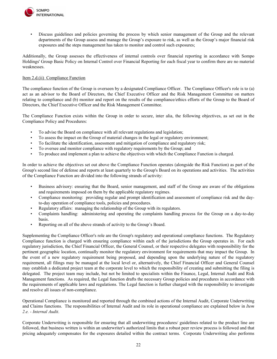

• Discuss guidelines and policies governing the process by which senior management of the Group and the relevant departments of the Group assess and manage the Group's exposure to risk, as well as the Group's major financial risk exposures and the steps management has taken to monitor and control such exposures;

Additionally, the Group assesses the effectiveness of internal controls over financial reporting in accordance with Sompo Holdings' Group Basic Policy on Internal Control over Financial Reporting for each fiscal year to confirm there are no material weaknesses.

# <span id="page-21-0"></span>Item 2.d.(ii) Compliance Function

The compliance function of the Group is overseen by a designated Compliance Officer. The Compliance Officer's role is to (a) act as an advisor to the Board of Directors, the Chief Executive Officer and the Risk Management Committee on matters relating to compliance and (b) monitor and report on the results of the compliance/ethics efforts of the Group to the Board of Directors, the Chief Executive Officer and the Risk Management Committee.

The Compliance Function exists within the Group in order to secure, inter alia, the following objectives, as set out in the Compliance Policy and Procedures:

- To advise the Board on compliance with all relevant regulations and legislation;
- To assess the impact on the Group of material changes in the legal or regulatory environment;
- To facilitate the identification, assessment and mitigation of compliance and regulatory risk;
- To oversee and monitor compliance with regulatory requirements by the Group; and
- To produce and implement a plan to achieve the objectives with which the Compliance Function is charged.

In order to achieve the objectives set out above the Compliance Function operates (alongside the Risk Function) as part of the Group's second line of defense and reports at least quarterly to the Group's Board on its operations and activities. The activities of the Compliance Function are divided into the following strands of activity:

- Business advisory: ensuring that the Board, senior management, and staff of the Group are aware of the obligations and requirements imposed on them by the applicable regulatory regimes.
- Compliance monitoring: providing regular and prompt identification and assessment of compliance risk and the dayto-day operation of compliance tools, policies and procedures.
- Regulatory affairs: managing the relationship of the Group with its regulators.
- Complaints handling: administering and operating the complaints handling process for the Group on a day-to-day basis.
- Reporting on all of the above strands of activity to the Group's Board.

Supplementing the Compliance Officer's role are the Group's regulatory and operational compliance functions. The Regulatory Compliance function is charged with ensuring compliance within each of the jurisdictions the Group operates in. For each regulatory jurisdiction, the Chief Financial Officer, the General Counsel, or their respective delegates with responsibility for the pertinent geographic location, continually monitor the regulatory environment for requirements that may impact the Group. In the event of a new regulatory requirement being proposed, and depending upon the underlying nature of the regulatory requirement, all filings may be managed at the local level or, alternatively, the Chief Financial Officer and General Counsel may establish a dedicated project team at the corporate level to which the responsibility of creating and submitting the filing is delegated. The project team may include, but not be limited to specialists within the Finance, Legal, Internal Audit and Risk Management functions. As required, the Legal function drafts the necessary Group policies and procedures in accordance with the requirements of applicable laws and regulations. The Legal function is further charged with the responsibility to investigate and resolve all issues of non-compliance.

Operational Compliance is monitored and reported through the combined actions of the Internal Audit, Corporate Underwriting and Claims functions. The responsibilities of Internal Audit and its role in operational compliance are explained below in *Item 2.e. - Internal Audit*.

Corporate Underwriting is responsible for ensuring that all underwriting procedures/ guidelines related to the product line are followed, that business written is within an underwriter's authorized limits that a robust peer review process is followed and that pricing adequately compensates for the exposures detailed within the contract terms. Corporate Underwriting also performs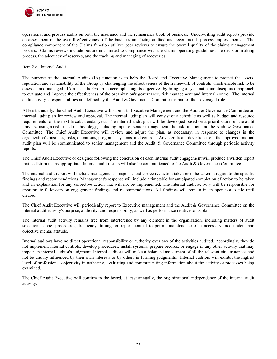

operational and process audits on both the insurance and the reinsurance book of business. Underwriting audit reports provide an assessment of the overall effectiveness of the business unit being audited and recommends process improvements. The compliance component of the Claims function utilizes peer reviews to ensure the overall quality of the claims management process. Claims reviews include but are not limited to compliance with the claims operating guidelines, the decision making process, the adequacy of reserves, and the tracking and managing of recoveries.

#### <span id="page-22-0"></span>Item 2.e. Internal Audit

The purpose of the Internal Audit's (IA) function is to help the Board and Executive Management to protect the assets, reputation and sustainability of the Group by challenging the effectiveness of the framework of controls which enable risk to be assessed and managed. IA assists the Group in accomplishing its objectives by bringing a systematic and disciplined approach to evaluate and improve the effectiveness of the organization's governance, risk management and internal control. The internal audit activity's responsibilities are defined by the Audit & Governance Committee as part of their oversight role.

At least annually, the Chief Audit Executive will submit to Executive Management and the Audit & Governance Committee an internal audit plan for review and approval. The internal audit plan will consist of a schedule as well as budget and resource requirements for the next fiscal/calendar year. The internal audit plan will be developed based on a prioritization of the audit universe using a risk-based methodology, including input of senior management, the risk function and the Audit  $\&$  Governance Committee. The Chief Audit Executive will review and adjust the plan, as necessary, in response to changes in the organization's business, risks, operations, programs, systems, and controls. Any significant deviation from the approved internal audit plan will be communicated to senior management and the Audit & Governance Committee through periodic activity reports.

The Chief Audit Executive or designee following the conclusion of each internal audit engagement will produce a written report that is distributed as appropriate. Internal audit results will also be communicated to the Audit & Governance Committee.

The internal audit report will include management's response and corrective action taken or to be taken in regard to the specific findings and recommendations. Management's response will include a timetable for anticipated completion of action to be taken and an explanation for any corrective action that will not be implemented. The internal audit activity will be responsible for appropriate follow-up on engagement findings and recommendations. All findings will remain in an open issues file until cleared.

The Chief Audit Executive will periodically report to Executive management and the Audit & Governance Committee on the internal audit activity's purpose, authority, and responsibility, as well as performance relative to its plan.

The internal audit activity remains free from interference by any element in the organization, including matters of audit selection, scope, procedures, frequency, timing, or report content to permit maintenance of a necessary independent and objective mental attitude.

Internal auditors have no direct operational responsibility or authority over any of the activities audited. Accordingly, they do not implement internal controls, develop procedures, install systems, prepare records, or engage in any other activity that may impair an internal auditor's judgment. Internal auditors will make a balanced assessment of all the relevant circumstances and not be unduly influenced by their own interests or by others in forming judgments. Internal auditors will exhibit the highest level of professional objectivity in gathering, evaluating and communicating information about the activity or processes being examined.

The Chief Audit Executive will confirm to the board, at least annually, the organizational independence of the internal audit activity.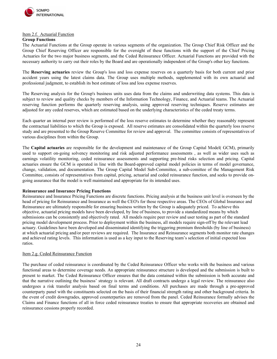

#### <span id="page-23-0"></span>Item 2.f. Actuarial Function

#### **Group Functions**

The Actuarial Functions at the Group operate in various segments of the organization. The Group Chief Risk Officer and the Group Chief Reserving Officer are responsible for the oversight of these functions with the support of the Chief Pricing Actuaries for the two major business segments, and the Ceded Reinsurance Officer. Actuarial Functions are provided with the necessary authority to carry out their roles by the Board and are operationally independent of the Group's other key functions.

The **Reserving actuaries** review the Group's loss and loss expense reserves on a quarterly basis for both current and prior accident years using the latest claims data. The Group uses multiple methods, supplemented with its own actuarial and professional judgment, to establish its best estimate of loss and loss expense reserves.

The Reserving analysis for the Group's business units uses data from the claims and underwriting data systems. This data is subject to review and quality checks by members of the Information Technology, Finance, and Actuarial teams. The Actuarial reserving function performs the quarterly reserving analysis, using approved reserving techniques. Reserve estimates are adjusted for any ceded reserves, which are estimated based on the underlying characteristics of the ceded treaty terms.

Each quarter an internal peer review is performed of the loss reserve estimates to determine whether they reasonably represent the contractual liabilities to which the Group is exposed. All reserve estimates are consolidated within the quarterly loss reserve study and are presented to the Group Reserve Committee for review and approval. The committee consists of representatives of various disciplines from within the Group.

The **Capital actuaries** are responsible for the development and maintenance of the Group Capital Model( GCM), primarily used to support on-going solvency monitoring and risk adjusted performance assessments , as well as wider uses such as earnings volatility monitoring, ceded reinsurance assessments and supporting pre-bind risks selection and pricing. Capital actuaries ensure the GCM is operated in line with the Board-approved capital model policies in terms of model governance, change, validation, and documentation. The Group Capital Model Sub-Committee, a sub-comittee of the Management Risk Committee, consists of representatives from capital, pricing, actuarial and ceded reinsurance function, and seeks to provide ongoing assurance that the model is well maintained and appropriate for its intended uses.

# **Reinsurance and Insurance Pricing Functions**

Reinsurance and Insurance Pricing Functions are discrete functions. Pricing analysis at the business unit level is overseen by the head of pricing for Reinsurance and Insurance as well the CEO's for those respective areas. The CEOs of Global Insurance and Reinsurance are ultimately responsible for ensuring business written by the Group is adequately priced. To achieve this objective, actuarial pricing models have been developed, by line of business, to provide a standardized means by which submissions can be consistently and objectively rated. All models require peer review and user testing as part of the standard pricing model development process. Prior to deployment within the business, all models require sign-off by the relevant lead actuary. Guidelines have been developed and disseminated identifying the triggering premium thresholds (by line of business) at which actuarial pricing and/or peer reviews are required. The Insurance and Reinsurance segments both monitor rate changes and achieved rating levels. This information is used as a key input to the Reserving team's selection of initial expected loss ratios.

# Item 2.g. Ceded Reinsurance Function

The purchase of ceded reinsurance is coordinated by the Ceded Reinsurance Officer who works with the business and various functional areas to determine coverage needs. An appropriate reinsurance structure is developed and the submission is built to present to market. The Ceded Reinsurance Officer ensures that the data contained within the submission is both accurate and that the narrative outlining the business' strategy is relevant. All draft contracts undergo a legal review. The reinsurance also undergoes a risk transfer analysis based on final terms and conditions. All purchases are made through a pre-approved counterparty panel with the constituents selected on the basis of their financial strength rating and other background criteria. In the event of credit downgrades, approved counterparties are removed from the panel. Ceded Reinsurance formally advises the Claims and Finance functions of all in force ceded reinsurance treaties to ensure that appropriate recoveries are obtained and reinsurance cessions properly recorded.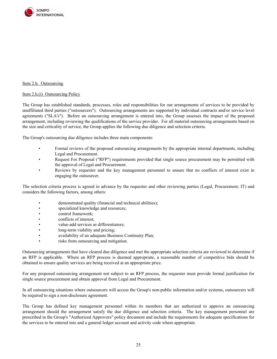

# <span id="page-24-1"></span><span id="page-24-0"></span>Item 2.h. Outsourcing

#### Item 2.h.(i) Outsourcing Policy

The Group has established standards, processes, roles and responsibilities for our arrangements of services to be provided by unaffiliated third parties ("outsourcers"). Outsourcing arrangements are supported by individual contracts and/or service level agreements ("SLA's"). Before an outsourcing arrangement is entered into, the Group assesses the impact of the proposed arrangement, including reviewing the qualifications of the service provider. For all material outsourcing arrangements based on the size and criticality of service, the Group applies the following due diligence and selection criteria.

The Group's outsourcing due diligence includes three main components:

- Formal reviews of the proposed outsourcing arrangements by the appropriate internal departments, including Legal and Procurement.
- Request For Proposal ("RFP") requirements provided that single source procurement may be permitted with the approval of Legal and Procurement.
- Reviews by requester and the key management personnel to ensure that no conflicts of interest exist in engaging the outsourcer.

The selection criteria process is agreed in advance by the requester and other reviewing parties (Legal, Procurement, IT) and considers the following factors, among others:

- demonstrated quality (financial and technical abilities);
- specialized knowledge and resources;
- control framework;
- conflicts of interest:
- value-add services as differentiators;
- long-term viability and pricing;
- availability of an adequate Business Continuity Plan;
- risks from outsourcing and mitigation.

Outsourcing arrangements that have cleared due diligence and met the appropriate selection criteria are reviewed to determine if an RFP is applicable. Where an RFP process is deemed appropriate, a reasonable number of competitive bids should be obtained to ensure quality services are being received at an appropriate price.

For any proposed outsourcing arrangement not subject to an RFP process, the requester must provide formal justification for single source procurement and obtain approval from Legal and Procurement.

In all outsourcing situations where outsourcers will access the Group's non-public information and/or systems, outsourcers will be required to sign a non-disclosure agreement.

The Group has defined key management personnel within its members that are authorized to approve an outsourcing arrangement should the arrangement satisfy the due diligence and selection criteria. The key management personnel are prescribed in the Group's "Authorized Approvers" policy document and include the requirements for adequate specifications for the services to be entered into and a general ledger account and activity code where appropriate.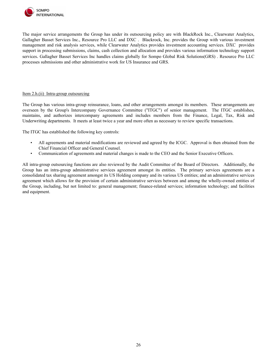

The major service arrangements the Group has under its outsourcing policy are with BlackRock Inc., Clearwater Analytics, Gallagher Basset Services Inc., Resource Pro LLC and DXC . Blackrock, Inc. provides the Group with various investment management and risk analysis services, while Clearwater Analytics provides investment accounting services. DXC provides support in processing submissions, claims, cash collection and allocation and provides various information technology support services. Gallagher Basset Services Inc handles claims globally for Sompo Global Risk Solutions(GRS). Resource Pro LLC processes submissions and other administrative work for US Insurance and GRS.

#### <span id="page-25-0"></span>Item 2.h.(ii) Intra-group outsourcing

The Group has various intra-group reinsurance, loans, and other arrangements amongst its members. These arrangements are overseen by the Group's Intercompany Governance Committee ("ITGC") of senior management. The ITGC establishes, maintains, and authorizes intercompany agreements and includes members from the Finance, Legal, Tax, Risk and Underwriting departments. It meets at least twice a year and more often as necessary to review specific transactions.

The ITGC has established the following key controls:

- All agreements and material modifications are reviewed and agreed by the ICGC. Approval is then obtained from the Chief Financial Officer and General Counsel.
- Communication of agreements and material changes is made to the CEO and the Senior Executive Officers.

All intra-group outsourcing functions are also reviewed by the Audit Committee of the Board of Directors. Additionally, the Group has an intra-group administrative services agreement amongst its entities. The primary services agreements are a consolidated tax sharing agreement amongst its US Holding company and its various US entities; and an administrative services agreement which allows for the provision of certain administrative services between and among the wholly-owned entities of the Group, including, but not limited to: general management; finance-related services; information technology; and facilities and equipment.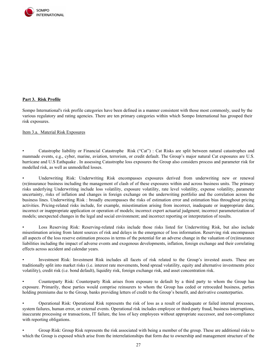

# <span id="page-26-0"></span>**Part 3. Risk Profile**

Sompo International's risk profile categories have been defined in a manner consistent with those most commonly, used by the various regulatory and rating agencies. There are ten primary categories within which Sompo International has grouped their risk exposures.

<span id="page-26-1"></span>Item 3.a. Material Risk Exposures

• Catastrophe liability or Financial Catastrophe Risk ("Cat") : Cat Risks are split between natural catastrophes and manmade events, e.g., cyber, marine, aviation, terrorism, or credit default. The Group's major natural Cat exposures are U.S. hurricane and U.S Eathquake . In assessing Catastrophe loss exposures the Group also considers process and parameter risk for modelled risk, as well as unmodelled losses.

• Underwriting Risk: Underwriting Risk encompasses exposures derived from underwriting new or renewal (re)insurance business including the management of clash of of these exposures within and across business units. The primary risks underlying Underwriting include loss volatility, exposure volatility, rate level volatility, expense volatility, parameter uncertainty, risks of inflation and changes in foreign exchange on the underwriting portfolio and the correlation across the business lines. Underwriting Risk : broadly encompasses the risks of estimation error and estimation bias throughout pricing activities. Pricing-related risks include, for example, misestimation arising from incorrect, inadequate or inappropriate data; incorrect or inappropriate application or operation of models; incorrect expert actuarial judgment; incorrect parameterization of models; unexpected changes in the legal and social environment; and incorrect reporting or interpretation of results.

Loss Reserving Risk: Reserving-related risks include those risks listed for Underwriting Risk, but also include misestimation arising from latent sources of risk and delays in the emergence of loss information. Reserving risk encompasses all aspects of the loss reserve estimation process in terms of the potential for an adverse change in the valuation of (re)insurance liabilities including the impact of adverse events and exogenous developments, inflation, foreign exchange and their correlating effects across accident and calendar years.

• Investment Risk: Investment Risk includes all facets of risk related to the Group's invested assets. These are traditionally split into market risks (i.e. interest rate movements, bond spread volatility, equity and alternative investments price volatility), credit risk (i.e. bond default), liquidity risk, foreign exchange risk, and asset concentration risk.

• Counterparty Risk: Counterparty Risk arises from exposure to default by a third party to whom the Group has exposure. Primarily, these parties would comprise reinsurers to whom the Group has ceded or retroceded business, parties holding premiums due to the Group, banks providing letters of credit to the Group's benefit, and derivative counterparties.

• Operational Risk: Operational Risk represents the risk of loss as a result of inadequate or failed internal processes, system failures, human error, or external events. Operational risk includes employee or third-party fraud, business interruptions, inaccurate processing or transactions, IT failure, the loss of key employees without appropriate successor, and non-compliance with reporting obligations.

• Group Risk: Group Risk represents the risk associated with being a member of the group. These are additional risks to which the Group is exposed which arise from the interrelationships that form due to ownership and management structure of the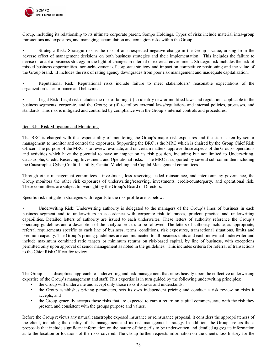

Group, including its relationship to its ultimate corporate parent, Sompo Holdings. Types of risks include material intra-group transactions and exposures, and managing accumulation and contagion risks within the Group.

• Strategic Risk: Strategic risk is the risk of an unexpected negative change in the Group's value, arising from the adverse effect of management decisions on both business strategies and their implementation. This includes the failure to devise or adapt a business strategy in the light of changes in internal or external environment. Strategic risk includes the risk of missed business opportunities, non-achievement of corporate strategy and impact on competitive positioning and the value of the Group brand. It includes the risk of rating agency downgrades from poor risk management and inadequate capitalization.

• Reputational Risk: Reputational risks include failure to meet stakeholders' reasonable expectations of the organization's performance and behavior.

• Legal Risk: Legal risk includes the risk of failing: (i) to identify new or modified laws and regulations applicable to the business segments, corporate, and the Group; or (ii) to follow external laws/regulations and internal policies, processes, and standards. This risk is mitigated and controlled by compliance with the Group's internal controls and procedures.

# <span id="page-27-0"></span>Item 3.b. Risk Mitigation and Monitoring

The BRC is charged with the responsibility of monitoring the Group's major risk exposures and the steps taken by senior management to monitor and control the exposures. Supporting the BRC is the MRC which is chaired by the Group Chief Risk Officer. The purpose of the MRC is to review, evaluate, and on certain matters, approve those aspects of the Group's operations and activities which have the potential to have an impact on its risk position, including but not limited to Underwriting, Catastrophe, Credit, Reserving, Investment, and Operational risks. The MRC is supported by several sub-committee including the Catastrophe, Cyber,Credit, Liability, Capital Modelling and Capital Management committees.

Through other management committees - investment, loss reserving, ceded reinsurance, and intercompany governance, the Group monitors the other risk exposures of underwriting/reserving, investments, credit/counterparty, and operational risk. These committees are subject to oversight by the Group's Board of Directors.

Specific risk mitigation strategies with regards to the risk profile are as below:

Underwriting Risk: Underwriting authority is delegated to the managers of the Group's lines of business in each business segment and to underwriters in accordance with corporate risk tolerances, prudent practice and underwriting capabilities. Detailed letters of authority are issued to each underwriter. These letters of authority reference the Group's operating guidelines and a description of the analytic process to be followed. The letters of authority include, as appropriate, referral requirements specific to each line of business, terms, conditions, risk exposures, transactional situations, limits and premium capacity. The Group's pricing guidelines are communicated to all business units and each individual underwriter and include maximum combined ratio targets or minimum returns on risk-based capital, by line of business, with exceptions permitted only upon approval of senior management as noted in the guidelines. This includes criteria for referral of transactions to the Chief Risk Officer for review.

The Group has a disciplined approach to underwriting and risk management that relies heavily upon the collective underwriting expertise of the Group's management and staff. This expertise is in turn guided by the following underwriting principles:

- the Group will underwrite and accept only those risks it knows and understands;
- the Group establishes pricing parameters, sets its own independent pricing and conduct a risk review on risks it accepts; and
- the Group generally accepts those risks that are expected to earn a return on capital commensurate with the risk they present, and consistent with the groups purpose and values.

Before the Group reviews any natural catastrophe exposed insurance or reinsurance proposal, it considers the appropriateness of the client, including the quality of its management and its risk management strategy. In addition, the Group prefers those proposals that include significant information on the nature of the perils to be underwritten and detailed aggregate information as to the location or locations of the risks covered. The Group further requests information on the client's loss history for the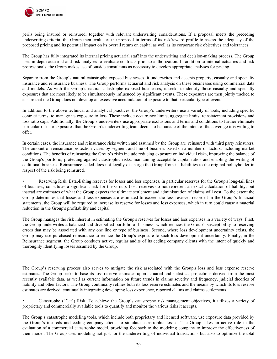

perils being insured or reinsured, together with relevant underwriting considerations. If a proposal meets the preceding underwriting criteria, the Group then evaluates the proposal in terms of its risk/reward profile to assess the adequacy of the proposed pricing and its potential impact on its overall return on capital as well as its corporate risk objectives and tolerances.

The Group has fully integrated its internal pricing actuarial staff into the underwriting and decision-making process. The Group uses in-depth actuarial and risk analyses to evaluate contracts prior to authorization. In addition to internal actuaries and risk professionals, the Group makes use of outside consultants as necessary to develop appropriate analyses for pricing.

Separate from the Group's natural catastrophe exposed businesses, it underwrites and accepts property, casualty and specialty insurance and reinsurance business. The Group performs actuarial and risk analysis on these businesses using commercial data and models. As with the Group's natural catastrophe exposed businesses, it seeks to identify those casualty and specialty exposures that are most likely to be simultaneously influenced by significant events. These exposures are then jointly tracked to ensure that the Group does not develop an excessive accumulation of exposure to that particular type of event.

In addition to the above technical and analytical practices, the Group's underwriters use a variety of tools, including specific contract terms, to manage its exposure to loss. These include occurrence limits, aggregate limits, reinstatement provisions and loss ratio caps. Additionally, the Group's underwriters use appropriate exclusions and terms and conditions to further eliminate particular risks or exposures that the Group's underwriting team deems to be outside of the intent of the coverage it is willing to offer.

In certain cases, the insurance and reinsurance risks written and assumed by the Group are reinsured with third party reinsurers. The amount of reinsurance protection varies by segment and line of business based on a number of factors, including market conditions. The benefits of reinsuring the Group's risks include reducing exposure on individual risks, improving the balance of the Group's portfolio, protecting against catastrophic risks, maintaining acceptable capital ratios and enabling the writing of additional business. Reinsurance ceded does not legally discharge the Group from its liabilities to the original policyholder in respect of the risk being reinsured.

• Reserving Risk: Establishing reserves for losses and loss expenses, in particular reserves for the Group's long-tail lines of business, constitutes a significant risk for the Group. Loss reserves do not represent an exact calculation of liability, but instead are estimates of what the Group expects the ultimate settlement and administration of claims will cost. To the extent the Group determines that losses and loss expenses are estimated to exceed the loss reserves recorded in the Group's financial statements, the Group will be required to increase its reserve for losses and loss expenses, which in turn could cause a material reduction in the Group's profitability and capital.

The Group manages the risk inherent in estimating the Group's reserves for losses and loss expenses in a variety of ways. First, the Group underwrites a balanced and diversified portfolio of business, which reduces the Group's susceptibility to reserving errors that may be associated with any one line or type of business. Second, where loss development uncertainty exists, the Group may use purchased reinsurance to reduce the Group's exposure to such loss development uncertainty. Finally, in the Reinsurance segment, the Group conducts active, regular audits of its ceding company clients with the intent of quickly and thoroughly identifying losses assumed by the Group.

The Group's reserving process also serves to mitigate the risk associated with the Group's loss and loss expense reserve estimates. The Group seeks to base its loss reserve estimates upon actuarial and statistical projections derived from the most recently available data, as well as current information on future trends in claims severity and frequency, judicial theories of liability and other factors. The Group continually refines both its loss reserve estimates and the means by which its loss reserve estimates are derived, continually integrating developing loss experience, reported claims and claims settlements.

• Catastrophe ("Cat") Risk: To achieve the Group's catastrophe risk management objectives, it utilizes a variety of proprietary and commercially available tools to quantify and monitor the various risks it accepts.

The Group's catastrophe modeling tools, which include both proprietary and licensed software, use exposure data provided by the Group's insureds and ceding company clients to simulate catastrophic losses. The Group takes an active role in the evaluation of a commercial catastrophe model, providing feedback to the modeling company to improve the effectiveness of their model. The Group uses modeling not just for the underwriting of individual transactions but also to optimize the total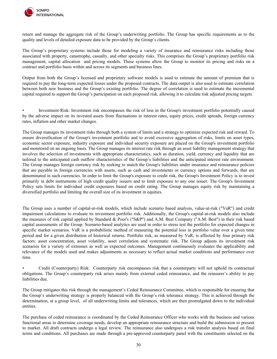

return and manage the aggregate risk of the Group's underwriting portfolio. The Group has specific requirements as to the quality and levels of detailed exposure data to be provided by the Group's clients.

The Group's proprietary systems include those for modeling a variety of insurance and reinsurance risks including those associated with property, catastrophe, casualty, and other specialty risks. This comprises the Group's proprietary portfolio risk management, capital allocation and pricing models. These systems allow the Group to monitor its pricing and risks on a contract and portfolio basis within and across its segments and business lines.

Output from both the Group's licensed and proprietary software models is used to estimate the amount of premium that is required to pay the long-term expected losses under the proposed contracts. The data output is also used to estimate correlation between both new business and the Group's existing portfolio. The degree of correlation is used to estimate the incremental capital required to support the Group's participation on each proposed risk, allowing it to calculate risk adjusted pricing targets.

• Investment Risk: Investment risk encompasses the risk of loss in the Group's investment portfolio potentially caused by the adverse impact on its invested assets from fluctuations in interest rates, equity prices, credit spreads, foreign currency rates, inflation and other market changes.

The Group manages its investment risks through both a system of limits and a strategy to optimize expected risk and reward. To ensure diversification of the Group's investment portfolio and to avoid excessive aggregation of risks, limits on asset types, economic sector exposure, industry exposure and individual security exposure are placed on the Group's investment portfolio and monitored on an ongoing basis. The Group manages its interest rate risk through an asset liability management strategy that involves the selection of investments with appropriate characteristics, such as duration, yield, currency and liquidity that are tailored to the anticipated cash outflow characteristics of the Group's liabilities and the anticipated interest rate environment. The Group manages foreign currency risk by seeking to match the Group's liabilities under insurance and reinsurance policies that are payable in foreign currencies with assets, such as cash and investments or currency options and forwards, that are denominated in such currencies. In order to limit the Group's exposure to credit risk, the Group's Investment Policy is to invest primarily in debt instruments of high credit quality issuers and to limit exposure to any one issuer. The Group's Investment Policy sets limits for individual credit exposures based on credit rating. The Group manages equity risk by maintaining a diversified portfolio and limiting the overall size of its investment in equities.

The Group uses a number of capital-at-risk models, which include scenario based analysis, value-at-risk ("VaR") and credit impairment calculations to evaluate its investment portfolio risk. Additionally, the Group's capital-at-risk models also include the measures of risk capital applied by Standard & Poor's ("S&P") and A.M. Best Company ("A.M. Best") in their risk based capital assessments of the Group. Scenario-based analytics are used in order to stress test the portfolio for expected changes in specific market scenarios. VaR is a probabilistic method of measuring the potential loss in portfolio value over a given time period and for a given distribution of historical returns. Portfolio risk, as measured by VaR, is affected by four primary risk factors: asset concentration, asset volatility, asset correlation and systematic risk. The Group adjusts its investment risk scenarios for a variety of extremes as well as expected outcomes. Management continuously evaluates the applicability and relevance of the models used and makes adjustments as necessary to reflect actual market conditions and performance over time.

• Credit (Counterparty) Risk: Counterparty risk encompasses risk that a counterparty will not uphold its contractual obligations. The Group's counterparty risk arises mainly from external ceded reinsurance, and the reinsurer's ability to pay liabilities due.

The Group mitigates this risk through the management's Ceded Reinsurance Committee, which is responsible for ensuring that the Group's underwriting strategy is properly balanced with the Group's risk tolerance strategy. This is achieved through the determination, at a group level, of all underwriting limits and tolerances, which are then promulgated down to the individual entities.

The purchase of ceded reinsurance is coordinated by the Ceded Reinsurance Officer who works with the business and various functional areas to determine coverage needs, develop an appropriate reinsurance structure and build the submission to present to market. All draft contracts undergo a legal review. The reinsurance also undergoes a risk transfer analysis based on final terms and conditions. All purchases are made through a pre-approved counterparty panel with the constituents selected on the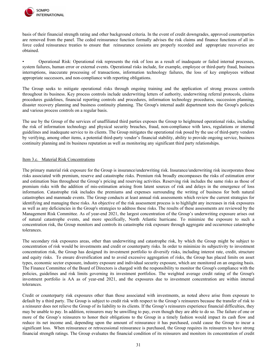

basis of their financial strength rating and other background criteria. In the event of credit downgrades, approved counterparties are removed from the panel. The ceded reinsurance function formally advises the risk claims and finance functions of all inforce ceded reinsurance treaties to ensure that reinsurance cessions are properly recorded and appropriate recoveries are obtained.

• Operational Risk: Operational risk represents the risk of loss as a result of inadequate or failed internal processes, system failures, human error or external events. Operational risks include, for example, employee or third-party fraud, business interruptions, inaccurate processing of transactions, information technology failures, the loss of key employees without appropriate successors, and non-compliance with reporting obligations.

The Group seeks to mitigate operational risks through ongoing training and the application of strong process controls throughout its business. Key process controls include underwriting letters of authority, underwriting referral protocols, claims procedures guidelines, financial reporting controls and procedures, information technology procedures, succession planning, disaster recovery planning and business continuity planning. The Group's internal audit department tests the Group's policies and various process controls on a regular basis.

The use by the Group of the services of unaffiliated third parties exposes the Group to heightened operational risks, including the risk of information technology and physical security breaches, fraud, non-compliance with laws, regulations or internal guidelines and inadequate service to its clients. The Group mitigates the operational risk posed by the use of third-party vendors by verifying, among other items, a potential third-party vendor's financial stability, ability to provide ongoing service, business continuity planning and its business reputation as well as monitoring any significant third party relationships.

#### <span id="page-30-0"></span>Item 3.c. Material Risk Concentrations

The primary material risk exposure for the Group is insurance/underwriting risk. Insurance/underwriting risk incorporates those risks associated with premium, reserve and catastrophe risks. Premium risk broadly encompasses the risks of estimation error and estimation bias throughout the Group's pricing and reserving activities. Reserving risk includes the same risks as those of premium risks with the addition of mis-estimation arising from latent sources of risk and delays in the emergence of loss information. Catastrophe risk includes the premiums and expenses surrounding the writing of business for both natural catastrophes and manmade events. The Group conducts at least annual risk assessments which review the current strategies for identifying and managing these risks. An objective of the risk assessment process is to highlight any increases in risk exposures as well as any deficiencies in the Group's strategies to address these risks. The results of these assessments are reviewed by the Management Risk Committee. As of year-end 2021, the largest concentration of the Group's underwriting exposure arises out of natural catastrophe events, and more specifically, North Atlantic hurricane. To minimize the exposure to such a concentration risk, the Group monitors and controls its catastrophe risk exposure through aggregate and occurrence catastrophe tolerances.

The secondary risk exposures areas, other than underwriting and catastrophe risk, by which the Group might be subject to concentration of risk would be investments and credit or counterparty risks. In order to minimize its subjectivity to investment concentration risk, the Group has designed its investment portfolio to diversify risks, including interest rate, credit, structure and equity risks. To ensure diversification and to avoid excessive aggregation of risks, the Group has placed limits on asset types, economic sector exposure, industry exposure and individual security exposure, which are monitored on an ongoing basis. The Finance Committee of the Board of Directors is charged with the responsibility to monitor the Group's compliance with the policies, guidelines and risk limits governing its investment portfolios. The weighted average credit rating of the Group's investment portfolio is AA as of year-end 2021, and the exposures due to investment concentration are within internal tolerances.

Credit or counterparty risk exposures other than those associated with investments, as noted above arise from exposure to default by a third party. The Group is subject to credit risk with respect to the Group's reinsurers because the transfer of risk to a reinsurer does not relieve the Group of its liability to its clients. If the Group's reinsurers experience financial difficulties, they may be unable to pay. In addition, reinsurers may be unwilling to pay, even though they are able to do so. The failure of one or more of the Group's reinsurers to honor their obligations to the Group in a timely fashion would impact its cash flow and reduce its net income and, depending upon the amount of reinsurance it has purchased, could cause the Group to incur a significant loss. When reinsurance or retrocessional reinsurance is purchased, the Group requires its reinsurers to have strong financial strength ratings. The Group evaluates the financial condition of its reinsurers and monitors its concentration of credit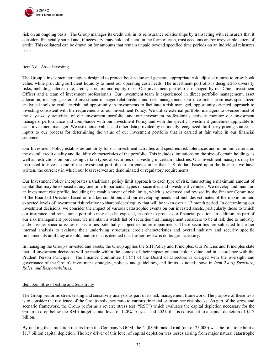

risk on an ongoing basis. The Group manages its credit risk in its reinsurance relationships by transacting with reinsurers that it considers financially sound and, if necessary, may hold collateral in the form of cash, trust accounts and/or irrevocable letters of credit. This collateral can be drawn on for amounts that remain unpaid beyond specified time periods on an individual reinsurer basis.

# <span id="page-31-0"></span>Item 3.d. Asset Investing

The Group's investment strategy is designed to protect book value and generate appropriate risk adjusted returns to grow book value, while providing sufficient liquidity to meet our operating cash needs. The investment portfolio is designed to diversify risks, including interest rate, credit, structure and equity risks. Our investment portfolio is managed by our Chief Investment Officer and a team of investment professionals. Our investment team is experienced in direct portfolio management, asset allocation, managing external investment manager relationships and risk management. Our investment team uses specialized analytical tools to evaluate risk and opportunity in investments to facilitate a risk managed, opportunity oriented approach to investing consistent with the requirements of our Investment Policy. We utilize external portfolio managers to oversee most of the day-to-day activities of our investment portfolio, and our investment professionals actively monitor our investment managers' performance and compliance with our Investment Policy and with the specific investment guidelines applicable to each investment manager. We use quoted values and other data provided by nationally recognized third-party pricing sources as inputs to our process for determining the value of our investment portfolio that is carried at fair value in our financial statements.

Our Investment Policy establishes authority for our investment activities and specifies risk tolerances and minimum criteria on the overall credit quality and liquidity characteristics of the portfolio. This includes limitations on the size of certain holdings as well as restrictions on purchasing certain types of securities or investing in certain industries. Our investment managers may be instructed to invest some of the investment portfolio in currencies other than U.S. dollars based upon the business we have written, the currency in which our loss reserves are denominated or regulatory requirements.

Our Investment Policy incorporates a traditional policy limit approach to each type of risk, thus setting a maximum amount of capital that may be exposed at any one time to particular types of securities and investment vehicles. We develop and maintain an investment risk profile, including the establishment of risk limits, which is reviewed and revised by the Finance Committee of the Board of Directors based on market conditions and our developing needs and includes estimates of the maximum and expected levels of investment risk relative to shareholders' equity that will be taken over a 12 month period. In determining our investment decisions, we consider the impact of various catastrophic events on our invested assets, particularly those to which our insurance and reinsurance portfolio may also be exposed, in order to protect our financial position. In addition, as part of our risk management processes, we maintain a watch list of securities that management considers to be at risk due to industry and/or issuer specific issues or securities potentially subject to future impairments. These securities are subjected to further internal analysis to evaluate their underlying structures, credit characteristics and overall industry and security specific fundamentals until they are sold, mature or it is deemed that further review is no longer necessary.

In managing the Group's invested and assets, the Group applies the SIH Policy and Principles. Our Policies and Principles state that all investment decisions will be made within the context of their impact on shareholder value and in accordance with the Prudent Person Principle. The Finance Committee ("FC") of the Board of Directors is charged with the oversight and governance of the Group's investment strategies, policies and guidelines, and limits as noted above in *Item 2.a.(i) Structure, Roles, and Responsibilities.*

# <span id="page-31-1"></span>Item 3.e. Stress Testing and Sensitivity

The Group performs stress testing and sensitivity analysis as part of its risk management framework. The purpose of these tests is to consider the resilience of the Groups solvency ratio to various financial or insurance risk shocks. As part of the stress and scenario framework, the Group performs a reverse stress test ("RST") which evaluates the capital depletion necessary for the Group to drop below the BMA target capital level of 120%. At year-end 2021, this is equivalent to a capital depletion of \$1.7 billion.

By ranking the simulation results from the Company's GCM, the 24,059th ranked trial (out of 25,000) was the first to exhibit a \$1.7 billion capital depletion. The key driver of this level of capital depletion was losses arising from major natural catastrophe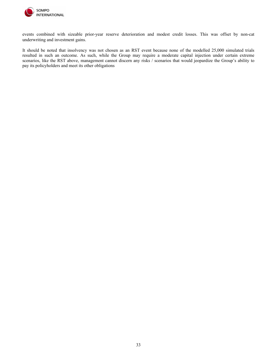

events combined with sizeable prior-year reserve deterioration and modest credit losses. This was offset by non-cat underwriting and investment gains.

It should be noted that insolvency was not chosen as an RST event because none of the modelled 25,000 simulated trials resulted in such an outcome. As such, while the Group may require a moderate capital injection under certain extreme scenarios, like the RST above, management cannot discern any risks / scenarios that would jeopardize the Group's ability to pay its policyholders and meet its other obligations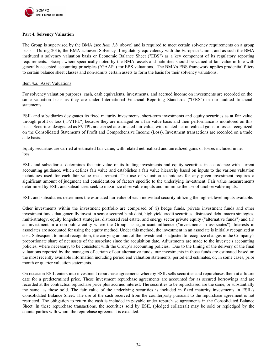

# <span id="page-33-0"></span>**Part 4. Solvency Valuation**

The Group is supervised by the BMA (see *Item 1.b.* above) and is required to meet certain solvency requirements on a group basis. During 2016, the BMA achieved Solvency II regulatory equivalency with the European Union, and as such the BMA instituted a solvency valuation basis or Economic Balance Sheet ("EBS") as a key component of its regulatory reporting requirements. Except where specifically noted by the BMA, assets and liabilities should be valued at fair value in line with generally accepted accounting principles ("GAAP") for EBS valuations. The BMA's EBS framework applies prudential filters to certain balance sheet classes and non-admits certain assets to form the basis for their solvency valuations.

#### <span id="page-33-1"></span>Item 4.a. Asset Valuations

For solvency valuation purposes, cash, cash equivalents, investments, and accrued income on investments are recorded on the same valuation basis as they are under International Financial Reporting Standards ("IFRS") in our audited financial statements.

ESIL and subsidiaries designates its fixed maturity investments, short-term investments and equity securities as at fair value through profit or loss ("FVTPL") because they are managed on a fair value basis and their performance is monitored on this basis. Securities designated as FVTPL are carried at estimated fair value, with related net unrealized gains or losses recognized on the Consolidated Statements of Profit and Comprehensive Income (Loss). Investment transactions are recorded on a trade date basis.

Equity securities are carried at estimated fair value, with related net realized and unrealized gains or losses included in net loss.

ESIL and subsidiaries determines the fair value of its trading investments and equity securities in accordance with current accounting guidance, which defines fair value and establishes a fair value hierarchy based on inputs to the various valuation techniques used for each fair value measurement. The use of valuation techniques for any given investment requires a significant amount of judgment and consideration of factors specific to the underlying investment. Fair value measurements determined by ESIL and subsidiaries seek to maximize observable inputs and minimize the use of unobservable inputs.

ESIL and subsidiaries determines the estimated fair value of each individual security utilizing the highest level inputs available.

Other investments within the investment portfolio are comprised of (i) hedge funds, private investment funds and other investment funds that generally invest in senior secured bank debt, high yield credit securities, distressed debt, macro strategies, multi-strategy, equity long/short strategies, distressed real estate, and energy sector private equity ("alternative funds") and (ii) an investment in a non-public entity where the Group has significant influence ("investments in associates"). Interests in associates are accounted for using the equity method. Under this method, the investment in an associate is initially recognized at cost. Subsequent to initial recognition, the carrying amount of the investment is adjusted to recognize changes in the Company's proportionate share of net assets of the associate since the acquisition date. Adjustments are made to the investee's accounting policies, where necessary, to be consistent with the Group's accounting policies. Due to the timing of the delivery of the final valuations reported by the managers of certain of our alternative funds, our investments in those funds are estimated based on the most recently available information including period end valuation statements, period end estimates, or, in some cases, prior month or quarter valuation statements.

On occasion ESIL enters into investment repurchase agreements whereby ESIL sells securities and repurchases them at a future date for a predetermined price. These investment repurchase agreements are accounted for as secured borrowings and are recorded at the contractual repurchase price plus accrued interest. The securities to be repurchased are the same, or substantially the same, as those sold. The fair value of the underlying securities is included in fixed maturity investments in ESIL's Consolidated Balance Sheet. The use of the cash received from the counterparty pursuant to the repurchase agreement is not restricted. The obligation to return the cash is included in payable under repurchase agreements in the Consolidated Balance Sheet. In these repurchase transactions, the securities sold by ESIL (pledged collateral) may be sold or repledged by the counterparties with whom the repurchase agreement is executed.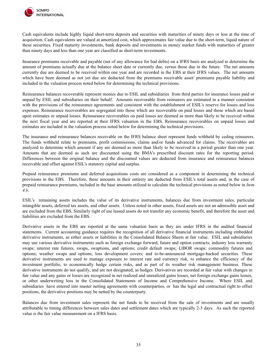

Cash equivalents include highly liquid short-term deposits and securities with maturities of ninety days or less at the time of acquisition. Cash equivalents are valued at amortized cost, which approximates fair value due to the short-term, liquid nature of these securities. Fixed maturity investments, bank deposits and investments in money market funds with maturities of greater than ninety days and less than one year are classified as short-term investments.

Insurance premiums receivable and payable (net of any allowance for bad debts) on a IFRS basis are analyzed to determine the amount of premiums actually due at the balance sheet date or currently due, versus those due in the future. The net amounts currently due are deemed to be received within one year and are recorded in the EBS at their IFRS values. The net amounts which have been deemed as not yet due are deducted from the premiums receivable asset/ premiums payable liability and included in the valuation process noted below for determining the technical provisions.

Reinsurance balances recoverable represent monies due to ESIL and subsidiaries from third parties for insurance losses paid or unpaid by ESIL and subsidiaries on their behalf. Amounts recoverable from reinsurers are estimated in a manner consistent with the provisions of the reinsurance agreements and consistent with the establishment of ESIL's reserve for losses and loss expenses. Reinsurance recoverables are segregated into those which are recoverable on paid losses and those which are based upon estimates or unpaid losses. Reinsurance recoverables on paid losses are deemed as more than likely to be received within the next fiscal year and are reported at their IFRS valuation in the EBS. Reinsurance recoverables on unpaid losses and estimates are included in the valuation process noted below for determining the technical provisions.

The insurance and reinsurance balances receivable on the IFRS balance sheet represent funds withheld by ceding reinsurers. The funds withheld relate to premiums, profit commissions, claims and/or funds advanced for claims. The receivables are analyzed to determine which amount if any are deemed as more than likely to be received in a period greater than one year. Amounts that are deemed as such are discounted using the BMA's prescribed discount rates for the reporting period. Differences between the original balance and the discounted values are deducted from insurance and reinsurance balances receivable and offset against ESIL's statutory capital and surplus.

Prepaid reinsurance premiums and deferred acquisitions costs are considered as a component in determining the technical provisions in the EBS. Therefore, these amounts in their entirety are deducted from ESIL's total assets and, in the case of prepaid reinsurance premiums, included in the base amounts utilized to calculate the technical provisions as noted below in *Item 4.b*.

ESIL's remaining assets includes the value of its derivative instruments, balances due from investment sales, particular intangible assets, deferred tax assets, and other assets. Unless noted in other assets, fixed assets are not an admissible asset and are excluded from the EBS. Similarly right of use leased assets do not transfer any economic benefit, and therefore the asset and liabilities are excluded from the EBS.

Derivative assets in the EBS are reported at the same valuation basis as they are under IFRS in the audited financial statements. Current accounting guidance requires the recognition of all derivative financial instruments including embedded derivative instruments, as either assets or liabilities in the Consolidated Balance Sheets at fair value. ESIL and subsidiaries may use various derivative instruments such as foreign exchange forward, future and option contracts; industry loss warranty swaps; interest rate futures, swaps, swaptions, and options; credit default swaps; LIBOR swaps; commodity futures and options; weather swaps and options; loss development covers; and to-be-announced mortgage-backed securities. These derivative instruments are used to manage exposure to interest rate and currency risk, to enhance the efficiency of the investment portfolio, to economically hedge certain risks, and as part of its weather risk management business. These derivative instruments do not qualify, and are not designated, as hedges. Derivatives are recorded at fair value with changes in fair value and any gains or losses are recognized in net realized and unrealized gains losses, net foreign exchange gains losses, or other underwriting loss in the Consolidated Statements of Income and Comprehensive Income. Where ESIL and subsidiaries have entered into master netting agreements with counterparties, or has the legal and contractual right to offset positions, the derivative positions may be netted by the counterparty.

Balances due from investment sales represent the net funds to be received from the sale of investments and are usually attributable to timing differences between sales dates and settlement dates which are typically 2-3 days. As such the reported value is the fair value measurement on a IFRS basis.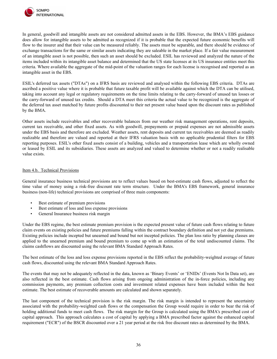

In general, goodwill and intangible assets are not considered admitted assets in the EBS. However, the BMA's EBS guidance does allow for intangible assets to be admitted as recognized if it is probable that the expected future economic benefits will flow to the insurer and that their value can be measured reliably. The assets must be separable, and there should be evidence of exchange transactions for the same or similar assets indicating they are saleable in the market place. If a fair value measurement of an intangible asset is not possible, then such an asset should be excluded. ESIL has reviewed and analyzed the nature of the items included within its intangible asset balance and determined that the US state licenses at its US insurance entities meet this criteria. Where available the aggregate of the mid-point of the valuation ranges for each license is recognised and reported as an intangible asset in the EBS.

ESIL's deferred tax assets ("DTAs") on a IFRS basis are reviewed and analysed within the following EBS criteria. DTAs are ascribed a positive value where it is probable that future taxable profit will be available against which the DTA can be utilised, taking into account any legal or regulatory requirements on the time limits relating to the carry-forward of unused tax losses or the carry-forward of unused tax credits. Should a DTA meet this criteria the actual value to be recognized is the aggregate of the deferred tax asset matched by future profits discounted to their net present value based upon the discount rates as published by the BMA.

Other assets include receivables and other recoverable balances from our weather risk management operations, rent deposits, current tax receivable, and other fixed assets. As with goodwill, prepayments or prepaid expenses are not admissible assets under the EBS basis and therefore are excluded. Weather assets, rent deposits and current tax receivables are deemed as readily realizable and therefore are valued and reported at their IFRS valuation basis with no applicable prudential filters for EBS reporting purposes. ESIL's other fixed assets consist of a building, vehicles and a transportation lease which are wholly owned or leased by ESIL and its subsidiaries. These assets are analyzed and valued to determine whether or not a readily realisable value exists.

# <span id="page-35-0"></span>Item 4.b. Technical Provisions

General insurance business technical provisions are to reflect values based on best-estimate cash flows, adjusted to reflect the time value of money using a risk-free discount rate term structure. Under the BMA's EBS framework, general insurance business (non-life) technical provisions are comprised of three main components:

- Best estimate of premium provisions
- Best estimate of loss and loss expense provisions
- General Insurance business risk margin

Under the EBS regime, the best estimate premium provision is the expected present value of future cash flows relating to future claim events on existing policies and future premiums falling within the contract boundary definition and not yet due premiums. Existing policies include incepted but unearned and bound but not incepted policies. The plan loss ratio by planning classes are applied to the unearned premium and bound premium to come up with an estimation of the total undiscounted claims. The claims cashflows are discounted using the relevant BMA Standard Approach Rates.

The best estimate of the loss and loss expense provisions reported in the EBS reflect the probability-weighted average of future cash flows, discounted using the relevant BMA Standard Approach Rates.

The events that may not be adequately reflected in the data, known as 'Binary Events' or 'ENIDs' (Events Not In Data set), are also reflected in the best estimate. Cash flows arising from ongoing administration of the in-force policies, including any commission payments, any premium collection costs and investment related expenses have been included within the best estimate. The best estimate of recoverable amounts are calculated and shown separately.

The last component of the technical provision is the risk margin. The risk margin is intended to represent the uncertainty associated with the probability-weighted cash flows or the compensation the Group would require in order to bear the risk of holding additional funds to meet cash flows. The risk margin for the Group is calculated using the BMA's prescribed cost of capital approach. This approach calculates a cost of capital by applying a BMA prescribed factor against the enhanced capital requirement ("ECR") of the BSCR discounted over a 21 year period at the risk free discount rates as determined by the BMA.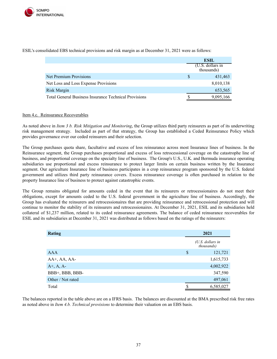

|                                                              |  | <b>ESIL</b>                      |  |
|--------------------------------------------------------------|--|----------------------------------|--|
|                                                              |  | $(U.S.$ dollars in<br>thousands) |  |
| Net Premium Provisions                                       |  | 431,463                          |  |
| Net Loss and Loss Expense Provisions                         |  | 8,010,138                        |  |
| <b>Risk Margin</b>                                           |  | 653,565                          |  |
| <b>Total General Business Insurance Technical Provisions</b> |  | 9,095,166                        |  |

ESIL's consolidated EBS technical provisions and risk margin as at December 31, 2021 were as follows:

#### <span id="page-36-0"></span>Item 4.c. Reinsurance Recoverables

As noted above in *Item 3 b. Risk Mitigation and Monitoring*, the Group utilizes third party reinsurers as part of its underwriting risk management strategy. Included as part of that strategy, the Group has established a Ceded Reinsurance Policy which provides governance over our ceded reinsurers and their selection.

The Group purchases quota share, facultative and excess of loss reinsurance across most Insurance lines of business. In the Reinsurance segment, the Group purchases proportional and excess of loss retrocessional coverage on the catastrophe line of business, and proportional coverage on the specialty line of business. The Group's U.S., U.K. and Bermuda insurance operating subsidiaries use proportional and excess reinsurance to protect larger limits on certain business written by the Insurance segment. Our agriculture Insurance line of business participates in a crop reinsurance program sponsored by the U.S. federal government and utilizes third party reinsurance covers. Excess reinsurance coverage is often purchased in relation to the property Insurance line of business to protect against catastrophic events.

The Group remains obligated for amounts ceded in the event that its reinsurers or retrocessionaires do not meet their obligations, except for amounts ceded to the U.S. federal government in the agriculture line of business. Accordingly, the Group has evaluated the reinsurers and retrocessionaires that are providing reinsurance and retrocessional protection and will continue to monitor the stability of its reinsurers and retrocessionaires. At December 31, 2021, ESIL and its subsidiaries held collateral of \$1,237 million, related to its ceded reinsurance agreements. The balance of ceded reinsurance recoverables for ESIL and its subsidiaries at December 31, 2021 was distributed as follows based on the ratings of the reinsurers:

| <b>Rating</b>          |   | 2021                             |
|------------------------|---|----------------------------------|
|                        |   | $(U.S.$ dollars in<br>thousands) |
| <b>AAA</b>             | S | 121,721                          |
| $AA^+$ , $AA$ , $AA^-$ |   | 1,615,733                        |
| $A^+, A, A^-$          |   | 4,002,922                        |
| BBB+, BBB, BBB-        |   | 347,590                          |
| Other / Not rated      |   | 497,061                          |
| Total                  |   | 6,585,027                        |

The balances reported in the table above are on a IFRS basis. The balances are discounted at the BMA prescribed risk free rates as noted above in *Item 4.b. Technical provisions* to determine their valuation on an EBS basis.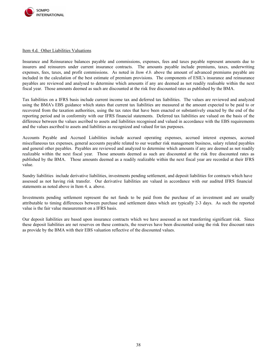

#### <span id="page-37-0"></span>Item 4.d. Other Liabilities Valuations

Insurance and Reinsurance balances payable and commissions, expenses, fees and taxes payable represent amounts due to insurers and reinsurers under current insurance contracts. The amounts payable include premiums, taxes, underwriting expenses, fees, taxes, and profit commissions. As noted in *Item 4.b.* above the amount of advanced premiums payable are included in the calculation of the best estimate of premium provisions. The components of ESIL's insurance and reinsurance payables are reviewed and analysed to determine which amounts if any are deemed as not readily realisable within the next fiscal year. Those amounts deemed as such are discounted at the risk free discounted rates as published by the BMA.

Tax liabilities on a IFRS basis include current income tax and deferred tax liabilities. The values are reviewed and analyzed using the BMA's EBS guidance which states that current tax liabilities are measured at the amount expected to be paid to or recovered from the taxation authorities, using the tax rates that have been enacted or substantively enacted by the end of the reporting period and in conformity with our IFRS financial statements. Deferred tax liabilities are valued on the basis of the difference between the values ascribed to assets and liabilities recognised and valued in accordance with the EBS requirements and the values ascribed to assets and liabilities as recognized and valued for tax purposes.

Accounts Payable and Accrued Liabilities include accrued operating expenses, accrued interest expenses, accrued miscellaneous tax expenses, general accounts payable related to our weather risk management business, salary related payables and general other payables. Payables are reviewed and analyzed to determine which amounts if any are deemed as not readily realizable within the next fiscal year. Those amounts deemed as such are discounted at the risk free discounted rates as published by the BMA. Those amounts deemed as a readily realizable within the next fiscal year are recorded at their IFRS value.

Sundry liabilities include derivative liabilities, investments pending settlement, and deposit liabilities for contracts which have assessed as not having risk transfer. Our derivative liabilities are valued in accordance with our audited IFRS financial statements as noted above in Item 4. a. above.

Investments pending settlement represent the net funds to be paid from the purchase of an investment and are usually attributable to timing differences between purchase and settlement dates which are typically 2-3 days. As such the reported value is the fair value measurement on a IFRS basis.

Our deposit liabilities are based upon insurance contracts which we have assessed as not transferring significant risk. Since these deposit liabilities are net reserves on these contracts, the reserves have been discounted using the risk free discount rates as provide by the BMA with their EBS valuation reflective of the discounted values.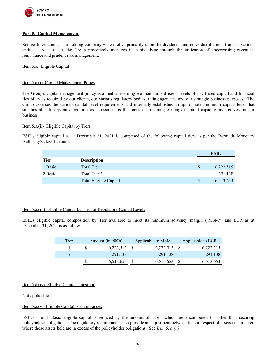

# <span id="page-38-0"></span>**Part 5. Capital Management**

Sompo International is a holding company which relies primarily upon the dividends and other distributions from its various entities. As a result, the Group proactively manages its capital base through the utilization of underwriting revenues, reinsurance and prudent risk management.

<span id="page-38-1"></span>Item 5.a. Eligible Capital

# <span id="page-38-2"></span>Item 5.a.(i) Capital Management Policy

The Group's capital management policy is aimed at ensuring we maintain sufficient levels of risk based capital and financial flexibility as required by our clients, our various regulatory bodies, rating agencies, and our strategic business purposes. The Group assesses the various capital level requirements and internally establishes an appropriate minimum capital level that satisfies all. Incorporated within this assessment is the focus on retaining earnings to build capacity and reinvest in our business.

# <span id="page-38-3"></span>Item 5.a.(ii) Eligible Capital by Tiers

ESIL's eligible capital as at December 31, 2021 is comprised of the following capital tiers as per the Bermuda Monetary Authority's classifications:

|             |                        |   | <b>ESIL</b> |
|-------------|------------------------|---|-------------|
| <b>Tier</b> | <b>Description</b>     |   |             |
| 1 Basic     | Total Tier 1           | S | 6,222,515   |
| 2 Basic     | Total Tier 2           |   | 291,138     |
|             | Total Eligible Capital | S | 6,513,653   |

# <span id="page-38-4"></span>Item 5.a.(iii) Eligible Capital by Tier for Regulatory Capital Levels

ESIL's eligible capital composition by Tier available to meet its minimum solvency margin ("MSM") and ECR as at December 31, 2021 is as follows:

| Tier | Amount (in $000$ 's) | Applicable to MSM | Applicable to ECR |
|------|----------------------|-------------------|-------------------|
|      | $6,222,515$ \$       | $6,222,515$ \$    | 6,222,515         |
|      | 291,138              | 291,138           | 291,138           |
|      | 6,513,653            | 6,513,653         | 6,513,653         |

# <span id="page-38-5"></span>Item 5.a.(iv) Eligible Capital Transition

Not applicable.

# <span id="page-38-6"></span>Item 5.a.(v) Eligible Capital Encumbrances

ESIL's Tier 1 Basic eligible capital is reduced by the amount of assets which are encumbered for other than securing policyholder obligations. The regulatory requirements also provide an adjustment between tiers in respect of assets encumbered where those assets held are in excess of the policyholder obligations. See *Item 5. a.(ii)*.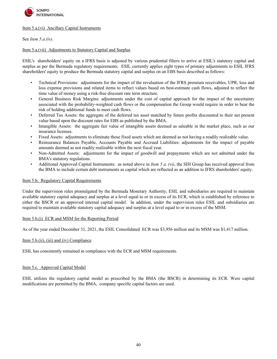

# <span id="page-39-0"></span>Item 5.a.(vi) Ancillary Capital Instruments

See *Item 5.a.(iv)*.

# <span id="page-39-1"></span>Item 5.a.(vii) Adjustments to Statutory Capital and Surplus

ESIL's shareholders' equity on a IFRS basis is adjusted by various prudential filters to arrive at ESIL's statutory capital and surplus as per the Bermuda regulatory requirements. ESIL currently applies eight types of primary adjustments to ESIL IFRS shareholders' equity to produce the Bermuda statutory capital and surplus on an EBS basis described as follows:

- Technical Provisions: adjustments for the impact of the revaluation of the IFRS premium receivables, UPR, loss and loss expense provisions and related items to reflect values based on best-estimate cash flows, adjusted to reflect the time value of money using a risk-free discount rate term structure.
- General Business Risk Margins: adjustments under the cost of capital approach for the impact of the uncertainty associated with the probability-weighted cash flows or the compensation the Group would require in order to bear the risk of holding additional funds to meet cash flows.
- Deferred Tax Assets: the aggregate of the deferred tax asset matched by future profits discounted to their net present value based upon the discount rates for EBS as published by the BMA.
- Intangible Assets: the aggregate fair value of intangible assets deemed as saleable in the market place, such as our insurance licenses.
- Fixed Assets: adjustments to eliminate those fixed assets which are deemed as not having a readily realizable value.
- Reinsurance Balances Payable, Accounts Payable and Accrued Liabilities: adjustments for the impact of payable amounts deemed as not readily realizable within the next fiscal year.
- Non-Admitted Assets: adjustments for the impact of goodwill and prepayments which are not admitted under the BMA's statutory regulations.
- Additional Approved Capital Instruments: as noted above in *Item 5 a. (vi)*, the SIH Group has received approval from the BMA to include certain debt instruments as capital which are reflected as an addition to IFRS shareholders' equity.

# <span id="page-39-2"></span>Item 5.b. Regulatory Capital Requirements

Under the supervision rules promulgated by the Bermuda Monetary Authority, ESIL and subsidiaries are required to maintain available statutory capital adequacy and surplus at a level equal to or in excess of its ECR, which is established by reference to either the BSCR or an approved internal capital model. In addition, under the supervision rules ESIL and subsidiaries are required to maintain available statutory capital adequacy and surplus at a level equal to or in excess of the MSM.

# <span id="page-39-3"></span>Item 5.b.(i) ECR and MSM for the Reporting Period

As of the year ended December 31, 2021, the ESIL Consolidated ECR was \$3,956 million and its MSM was \$1,417 million.

# <span id="page-39-4"></span>Item 5.b.(ii), (iii) and (iv) Compliance

<span id="page-39-5"></span>ESIL has consistently remained in compliance with the ECR and MSM requirements.

# <span id="page-39-7"></span><span id="page-39-6"></span>Item 5.c. Approved Capital Model

ESIL utilizes the regulatory capital model as prescribed by the BMA (the BSCR) in determining its ECR. Were capital modifications are permitted by the BMA, company specific capital factors are used.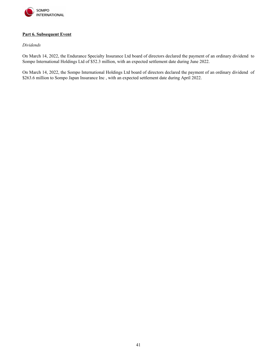

# <span id="page-40-0"></span>**Part 6. Subsequent Event**

# *Dividends*

On March 14, 2022, the Endurance Specialty Insurance Ltd board of directors declared the payment of an ordinary dividend to Sompo International Holdings Ltd of \$52.3 million, with an expected settlement date during June 2022.

On March 14, 2022, the Sompo International Holdings Ltd board of directors declared the payment of an ordinary dividend of \$263.6 million to Sompo Japan Insurance Inc, with an expected settlement date during April 2022.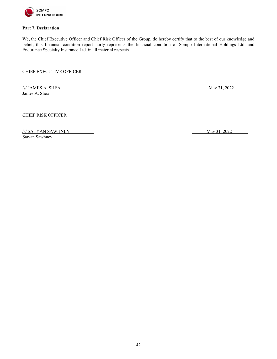

# <span id="page-41-0"></span>**Part 7. Declaration**

We, the Chief Executive Officer and Chief Risk Officer of the Group, do hereby certify that to the best of our knowledge and belief, this financial condition report fairly represents the financial condition of Sompo International Holdings Ltd. and Endurance Specialty Insurance Ltd. in all material respects.

CHIEF EXECUTIVE OFFICER

 $\frac{1}{\sqrt{2}}$  May 31, 2022 James A. Shea

CHIEF RISK OFFICER

/s/ SATYAN SAWHNEY May 31, 2022 Satyan Sawhney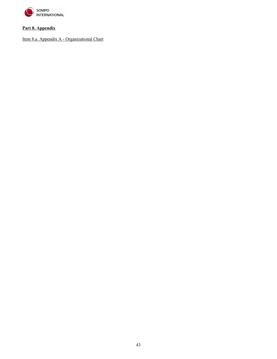

# <span id="page-42-0"></span>**Part 8. Appendix**

Item 8.a. Appendix A - Organizational Chart